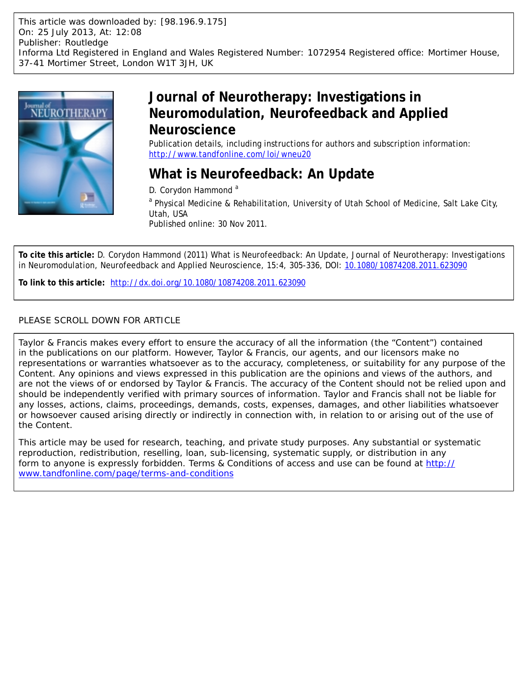This article was downloaded by: [98.196.9.175] On: 25 July 2013, At: 12:08 Publisher: Routledge Informa Ltd Registered in England and Wales Registered Number: 1072954 Registered office: Mortimer House, 37-41 Mortimer Street, London W1T 3JH, UK



# **Journal of Neurotherapy: Investigations in Neuromodulation, Neurofeedback and Applied Neuroscience**

Publication details, including instructions for authors and subscription information: <http://www.tandfonline.com/loi/wneu20>

# **What is Neurofeedback: An Update**

D. Corydon Hammond<sup>a</sup>

<sup>a</sup> Physical Medicine & Rehabilitation, University of Utah School of Medicine, Salt Lake City, Utah, USA

Published online: 30 Nov 2011.

**To cite this article:** D. Corydon Hammond (2011) What is Neurofeedback: An Update, Journal of Neurotherapy: Investigations in Neuromodulation, Neurofeedback and Applied Neuroscience, 15:4, 305-336, DOI: [10.1080/10874208.2011.623090](http://www.tandfonline.com/action/showCitFormats?doi=10.1080/10874208.2011.623090)

**To link to this article:** <http://dx.doi.org/10.1080/10874208.2011.623090>

# PLEASE SCROLL DOWN FOR ARTICLE

Taylor & Francis makes every effort to ensure the accuracy of all the information (the "Content") contained in the publications on our platform. However, Taylor & Francis, our agents, and our licensors make no representations or warranties whatsoever as to the accuracy, completeness, or suitability for any purpose of the Content. Any opinions and views expressed in this publication are the opinions and views of the authors, and are not the views of or endorsed by Taylor & Francis. The accuracy of the Content should not be relied upon and should be independently verified with primary sources of information. Taylor and Francis shall not be liable for any losses, actions, claims, proceedings, demands, costs, expenses, damages, and other liabilities whatsoever or howsoever caused arising directly or indirectly in connection with, in relation to or arising out of the use of the Content.

This article may be used for research, teaching, and private study purposes. Any substantial or systematic reproduction, redistribution, reselling, loan, sub-licensing, systematic supply, or distribution in any form to anyone is expressly forbidden. Terms & Conditions of access and use can be found at [http://](http://www.tandfonline.com/page/terms-and-conditions) [www.tandfonline.com/page/terms-and-conditions](http://www.tandfonline.com/page/terms-and-conditions)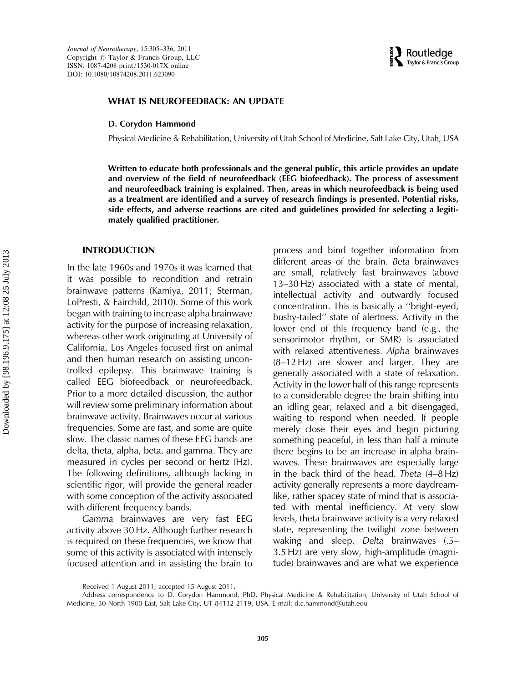

#### WHAT IS NEUROFEEDBACK: AN UPDATE

#### D. Corydon Hammond

Physical Medicine & Rehabilitation, University of Utah School of Medicine, Salt Lake City, Utah, USA

Written to educate both professionals and the general public, this article provides an update and overview of the field of neurofeedback (EEG biofeedback). The process of assessment and neurofeedback training is explained. Then, areas in which neurofeedback is being used as a treatment are identified and a survey of research findings is presented. Potential risks, side effects, and adverse reactions are cited and guidelines provided for selecting a legitimately qualified practitioner.

#### INTRODUCTION

In the late 1960s and 1970s it was learned that it was possible to recondition and retrain brainwave patterns (Kamiya, 2011; Sterman, LoPresti, & Fairchild, 2010). Some of this work began with training to increase alpha brainwave activity for the purpose of increasing relaxation, whereas other work originating at University of California, Los Angeles focused first on animal and then human research on assisting uncontrolled epilepsy. This brainwave training is called EEG biofeedback or neurofeedback. Prior to a more detailed discussion, the author will review some preliminary information about brainwave activity. Brainwaves occur at various frequencies. Some are fast, and some are quite slow. The classic names of these EEG bands are delta, theta, alpha, beta, and gamma. They are measured in cycles per second or hertz (Hz). The following definitions, although lacking in scientific rigor, will provide the general reader with some conception of the activity associated with different frequency bands.

Gamma brainwaves are very fast EEG activity above 30 Hz. Although further research is required on these frequencies, we know that some of this activity is associated with intensely focused attention and in assisting the brain to

process and bind together information from different areas of the brain. Beta brainwaves are small, relatively fast brainwaves (above 13–30 Hz) associated with a state of mental, intellectual activity and outwardly focused concentration. This is basically a ''bright-eyed, bushy-tailed'' state of alertness. Activity in the lower end of this frequency band (e.g., the sensorimotor rhythm, or SMR) is associated with relaxed attentiveness. Alpha brainwaves (8–12 Hz) are slower and larger. They are generally associated with a state of relaxation. Activity in the lower half of this range represents to a considerable degree the brain shifting into an idling gear, relaxed and a bit disengaged, waiting to respond when needed. If people merely close their eyes and begin picturing something peaceful, in less than half a minute there begins to be an increase in alpha brainwaves. These brainwaves are especially large in the back third of the head. Theta (4–8 Hz) activity generally represents a more daydreamlike, rather spacey state of mind that is associated with mental inefficiency. At very slow levels, theta brainwave activity is a very relaxed state, representing the twilight zone between waking and sleep. Delta brainwaves (.5– 3.5 Hz) are very slow, high-amplitude (magnitude) brainwaves and are what we experience

Received 1 August 2011; accepted 15 August 2011.

Address correspondence to D. Corydon Hammond, PhD, Physical Medicine & Rehabilitation, University of Utah School of Medicine, 30 North 1900 East, Salt Lake City, UT 84132-2119, USA. E-mail: d.c.hammond@utah.edu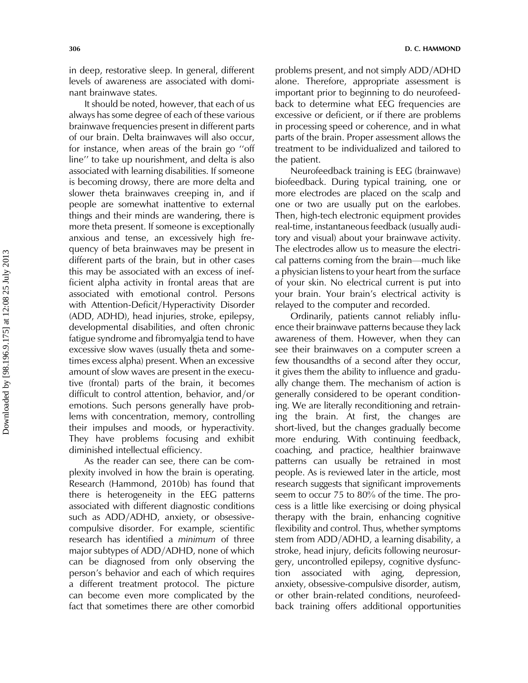in deep, restorative sleep. In general, different levels of awareness are associated with dominant brainwave states.

It should be noted, however, that each of us always has some degree of each of these various brainwave frequencies present in different parts of our brain. Delta brainwaves will also occur, for instance, when areas of the brain go ''off line'' to take up nourishment, and delta is also associated with learning disabilities. If someone is becoming drowsy, there are more delta and slower theta brainwaves creeping in, and if people are somewhat inattentive to external things and their minds are wandering, there is more theta present. If someone is exceptionally anxious and tense, an excessively high frequency of beta brainwaves may be present in different parts of the brain, but in other cases this may be associated with an excess of inefficient alpha activity in frontal areas that are associated with emotional control. Persons with Attention-Deficit/Hyperactivity Disorder (ADD, ADHD), head injuries, stroke, epilepsy, developmental disabilities, and often chronic fatigue syndrome and fibromyalgia tend to have excessive slow waves (usually theta and sometimes excess alpha) present. When an excessive amount of slow waves are present in the executive (frontal) parts of the brain, it becomes difficult to control attention, behavior, and/or emotions. Such persons generally have problems with concentration, memory, controlling their impulses and moods, or hyperactivity. They have problems focusing and exhibit diminished intellectual efficiency.

As the reader can see, there can be complexity involved in how the brain is operating. Research (Hammond, 2010b) has found that there is heterogeneity in the EEG patterns associated with different diagnostic conditions such as ADD/ADHD, anxiety, or obsessivecompulsive disorder. For example, scientific research has identified a minimum of three major subtypes of ADD/ADHD, none of which can be diagnosed from only observing the person's behavior and each of which requires a different treatment protocol. The picture can become even more complicated by the fact that sometimes there are other comorbid

problems present, and not simply ADD/ADHD alone. Therefore, appropriate assessment is important prior to beginning to do neurofeedback to determine what EEG frequencies are excessive or deficient, or if there are problems in processing speed or coherence, and in what parts of the brain. Proper assessment allows the treatment to be individualized and tailored to the patient.

Neurofeedback training is EEG (brainwave) biofeedback. During typical training, one or more electrodes are placed on the scalp and one or two are usually put on the earlobes. Then, high-tech electronic equipment provides real-time, instantaneous feedback (usually auditory and visual) about your brainwave activity. The electrodes allow us to measure the electrical patterns coming from the brain—much like a physician listens to your heart from the surface of your skin. No electrical current is put into your brain. Your brain's electrical activity is relayed to the computer and recorded.

Ordinarily, patients cannot reliably influence their brainwave patterns because they lack awareness of them. However, when they can see their brainwaves on a computer screen a few thousandths of a second after they occur, it gives them the ability to influence and gradually change them. The mechanism of action is generally considered to be operant conditioning. We are literally reconditioning and retraining the brain. At first, the changes are short-lived, but the changes gradually become more enduring. With continuing feedback, coaching, and practice, healthier brainwave patterns can usually be retrained in most people. As is reviewed later in the article, most research suggests that significant improvements seem to occur 75 to 80% of the time. The process is a little like exercising or doing physical therapy with the brain, enhancing cognitive flexibility and control. Thus, whether symptoms stem from ADD/ADHD, a learning disability, a stroke, head injury, deficits following neurosurgery, uncontrolled epilepsy, cognitive dysfunction associated with aging, depression, anxiety, obsessive-compulsive disorder, autism, or other brain-related conditions, neurofeedback training offers additional opportunities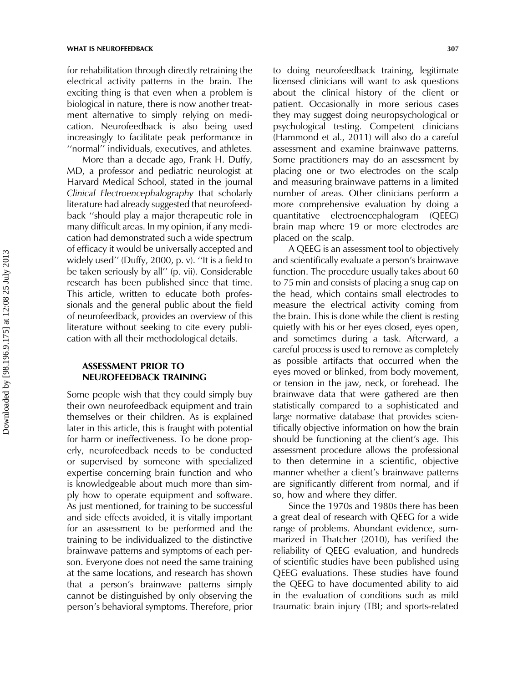for rehabilitation through directly retraining the electrical activity patterns in the brain. The exciting thing is that even when a problem is biological in nature, there is now another treatment alternative to simply relying on medication. Neurofeedback is also being used increasingly to facilitate peak performance in ''normal'' individuals, executives, and athletes.

More than a decade ago, Frank H. Duffy, MD, a professor and pediatric neurologist at Harvard Medical School, stated in the journal Clinical Electroencephalography that scholarly literature had already suggested that neurofeedback ''should play a major therapeutic role in many difficult areas. In my opinion, if any medication had demonstrated such a wide spectrum of efficacy it would be universally accepted and widely used'' (Duffy, 2000, p. v). ''It is a field to be taken seriously by all'' (p. vii). Considerable research has been published since that time. This article, written to educate both professionals and the general public about the field of neurofeedback, provides an overview of this literature without seeking to cite every publication with all their methodological details.

# ASSESSMENT PRIOR TO NEUROFEEDBACK TRAINING

Some people wish that they could simply buy their own neurofeedback equipment and train themselves or their children. As is explained later in this article, this is fraught with potential for harm or ineffectiveness. To be done properly, neurofeedback needs to be conducted or supervised by someone with specialized expertise concerning brain function and who is knowledgeable about much more than simply how to operate equipment and software. As just mentioned, for training to be successful and side effects avoided, it is vitally important for an assessment to be performed and the training to be individualized to the distinctive brainwave patterns and symptoms of each person. Everyone does not need the same training at the same locations, and research has shown that a person's brainwave patterns simply cannot be distinguished by only observing the person's behavioral symptoms. Therefore, prior

to doing neurofeedback training, legitimate licensed clinicians will want to ask questions about the clinical history of the client or patient. Occasionally in more serious cases they may suggest doing neuropsychological or psychological testing. Competent clinicians (Hammond et al., 2011) will also do a careful assessment and examine brainwave patterns. Some practitioners may do an assessment by placing one or two electrodes on the scalp and measuring brainwave patterns in a limited number of areas. Other clinicians perform a more comprehensive evaluation by doing a quantitative electroencephalogram (QEEG) brain map where 19 or more electrodes are placed on the scalp.

A QEEG is an assessment tool to objectively and scientifically evaluate a person's brainwave function. The procedure usually takes about 60 to 75 min and consists of placing a snug cap on the head, which contains small electrodes to measure the electrical activity coming from the brain. This is done while the client is resting quietly with his or her eyes closed, eyes open, and sometimes during a task. Afterward, a careful process is used to remove as completely as possible artifacts that occurred when the eyes moved or blinked, from body movement, or tension in the jaw, neck, or forehead. The brainwave data that were gathered are then statistically compared to a sophisticated and large normative database that provides scientifically objective information on how the brain should be functioning at the client's age. This assessment procedure allows the professional to then determine in a scientific, objective manner whether a client's brainwave patterns are significantly different from normal, and if so, how and where they differ.

Since the 1970s and 1980s there has been a great deal of research with QEEG for a wide range of problems. Abundant evidence, summarized in Thatcher (2010), has verified the reliability of QEEG evaluation, and hundreds of scientific studies have been published using QEEG evaluations. These studies have found the QEEG to have documented ability to aid in the evaluation of conditions such as mild traumatic brain injury (TBI; and sports-related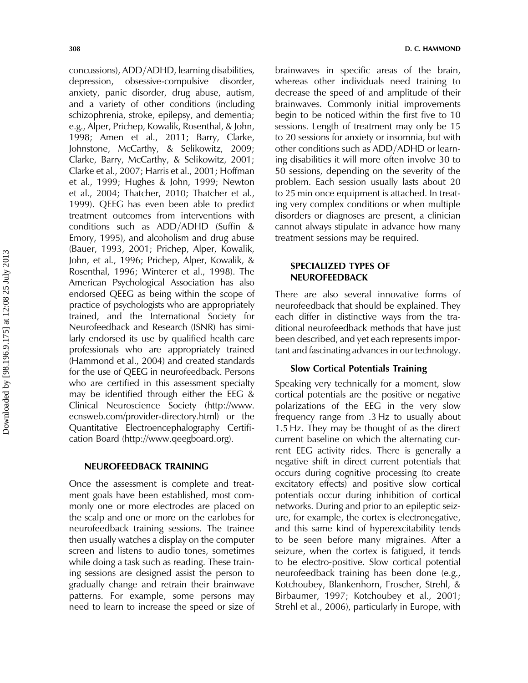concussions), ADD/ADHD, learning disabilities, depression, obsessive-compulsive disorder, anxiety, panic disorder, drug abuse, autism, and a variety of other conditions (including schizophrenia, stroke, epilepsy, and dementia; e.g., Alper, Prichep, Kowalik, Rosenthal, & John, 1998; Amen et al., 2011; Barry, Clarke, Johnstone, McCarthy, & Selikowitz, 2009; Clarke, Barry, McCarthy, & Selikowitz, 2001; Clarke et al., 2007; Harris et al., 2001; Hoffman et al., 1999; Hughes & John, 1999; Newton et al., 2004; Thatcher, 2010; Thatcher et al., 1999). QEEG has even been able to predict treatment outcomes from interventions with conditions such as  $ADD/ADHD$  (Suffin & Emory, 1995), and alcoholism and drug abuse (Bauer, 1993, 2001; Prichep, Alper, Kowalik, John, et al., 1996; Prichep, Alper, Kowalik, & Rosenthal, 1996; Winterer et al., 1998). The American Psychological Association has also endorsed QEEG as being within the scope of practice of psychologists who are appropriately trained, and the International Society for Neurofeedback and Research (ISNR) has similarly endorsed its use by qualified health care professionals who are appropriately trained (Hammond et al., 2004) and created standards for the use of QEEG in neurofeedback. Persons who are certified in this assessment specialty may be identified through either the EEG & Clinical Neuroscience Society (http://www. ecnsweb.com/provider-directory.html) or the Quantitative Electroencephalography Certification Board (http://www.qeegboard.org).

## NEUROFEEDBACK TRAINING

Once the assessment is complete and treatment goals have been established, most commonly one or more electrodes are placed on the scalp and one or more on the earlobes for neurofeedback training sessions. The trainee then usually watches a display on the computer screen and listens to audio tones, sometimes while doing a task such as reading. These training sessions are designed assist the person to gradually change and retrain their brainwave patterns. For example, some persons may need to learn to increase the speed or size of brainwaves in specific areas of the brain, whereas other individuals need training to decrease the speed of and amplitude of their brainwaves. Commonly initial improvements begin to be noticed within the first five to 10 sessions. Length of treatment may only be 15 to 20 sessions for anxiety or insomnia, but with other conditions such as ADD/ADHD or learning disabilities it will more often involve 30 to 50 sessions, depending on the severity of the problem. Each session usually lasts about 20 to 25 min once equipment is attached. In treating very complex conditions or when multiple disorders or diagnoses are present, a clinician cannot always stipulate in advance how many treatment sessions may be required.

# SPECIALIZED TYPES OF NEUROFEEDBACK

There are also several innovative forms of neurofeedback that should be explained. They each differ in distinctive ways from the traditional neurofeedback methods that have just been described, and yet each represents important and fascinating advances in our technology.

### Slow Cortical Potentials Training

Speaking very technically for a moment, slow cortical potentials are the positive or negative polarizations of the EEG in the very slow frequency range from .3 Hz to usually about 1.5 Hz. They may be thought of as the direct current baseline on which the alternating current EEG activity rides. There is generally a negative shift in direct current potentials that occurs during cognitive processing (to create excitatory effects) and positive slow cortical potentials occur during inhibition of cortical networks. During and prior to an epileptic seizure, for example, the cortex is electronegative, and this same kind of hyperexcitability tends to be seen before many migraines. After a seizure, when the cortex is fatigued, it tends to be electro-positive. Slow cortical potential neurofeedback training has been done (e.g., Kotchoubey, Blankenhorn, Froscher, Strehl, & Birbaumer, 1997; Kotchoubey et al., 2001; Strehl et al., 2006), particularly in Europe, with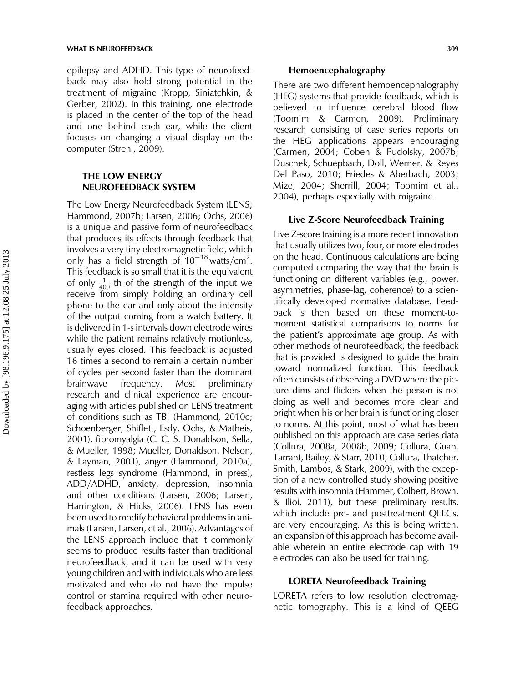epilepsy and ADHD. This type of neurofeedback may also hold strong potential in the treatment of migraine (Kropp, Siniatchkin, & Gerber, 2002). In this training, one electrode is placed in the center of the top of the head and one behind each ear, while the client focuses on changing a visual display on the computer (Strehl, 2009).

# THE LOW ENERGY NEUROFEEDBACK SYSTEM

The Low Energy Neurofeedback System (LENS; Hammond, 2007b; Larsen, 2006; Ochs, 2006) is a unique and passive form of neurofeedback that produces its effects through feedback that involves a very tiny electromagnetic field, which only has a field strength of  $10^{-18}$  watts/cm<sup>2</sup>. This feedback is so small that it is the equivalent of only  $\frac{1}{400}$  th of the strength of the input we receive from simply holding an ordinary cell phone to the ear and only about the intensity of the output coming from a watch battery. It is delivered in 1-s intervals down electrode wires while the patient remains relatively motionless, usually eyes closed. This feedback is adjusted 16 times a second to remain a certain number of cycles per second faster than the dominant brainwave frequency. Most preliminary research and clinical experience are encouraging with articles published on LENS treatment of conditions such as TBI (Hammond, 2010c; Schoenberger, Shiflett, Esdy, Ochs, & Matheis, 2001), fibromyalgia (C. C. S. Donaldson, Sella, & Mueller, 1998; Mueller, Donaldson, Nelson, & Layman, 2001), anger (Hammond, 2010a), restless legs syndrome (Hammond, in press), ADD/ADHD, anxiety, depression, insomnia and other conditions (Larsen, 2006; Larsen, Harrington, & Hicks, 2006). LENS has even been used to modify behavioral problems in animals (Larsen, Larsen, et al., 2006). Advantages of the LENS approach include that it commonly seems to produce results faster than traditional neurofeedback, and it can be used with very young children and with individuals who are less motivated and who do not have the impulse control or stamina required with other neurofeedback approaches.

### Hemoencephalography

There are two different hemoencephalography (HEG) systems that provide feedback, which is believed to influence cerebral blood flow (Toomim & Carmen, 2009). Preliminary research consisting of case series reports on the HEG applications appears encouraging (Carmen, 2004; Coben & Pudolsky, 2007b; Duschek, Schuepbach, Doll, Werner, & Reyes Del Paso, 2010; Friedes & Aberbach, 2003; Mize, 2004; Sherrill, 2004; Toomim et al., 2004), perhaps especially with migraine.

#### Live Z-Score Neurofeedback Training

Live Z-score training is a more recent innovation that usually utilizes two, four, or more electrodes on the head. Continuous calculations are being computed comparing the way that the brain is functioning on different variables (e.g., power, asymmetries, phase-lag, coherence) to a scientifically developed normative database. Feedback is then based on these moment-tomoment statistical comparisons to norms for the patient's approximate age group. As with other methods of neurofeedback, the feedback that is provided is designed to guide the brain toward normalized function. This feedback often consists of observing a DVD where the picture dims and flickers when the person is not doing as well and becomes more clear and bright when his or her brain is functioning closer to norms. At this point, most of what has been published on this approach are case series data (Collura, 2008a, 2008b, 2009; Collura, Guan, Tarrant, Bailey, & Starr, 2010; Collura, Thatcher, Smith, Lambos, & Stark, 2009), with the exception of a new controlled study showing positive results with insomnia (Hammer, Colbert, Brown, & Ilioi, 2011), but these preliminary results, which include pre- and posttreatment QEEGs, are very encouraging. As this is being written, an expansion of this approach has become available wherein an entire electrode cap with 19 electrodes can also be used for training.

#### LORETA Neurofeedback Training

LORETA refers to low resolution electromagnetic tomography. This is a kind of QEEG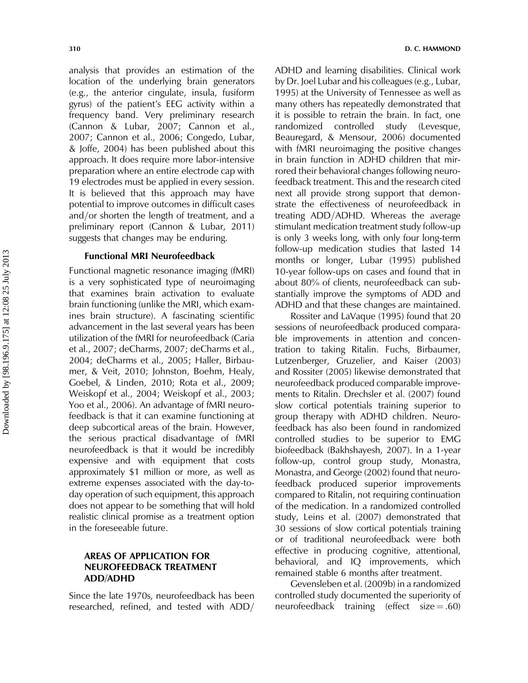analysis that provides an estimation of the location of the underlying brain generators (e.g., the anterior cingulate, insula, fusiform gyrus) of the patient's EEG activity within a frequency band. Very preliminary research (Cannon & Lubar, 2007; Cannon et al., 2007; Cannon et al., 2006; Congedo, Lubar, & Joffe, 2004) has been published about this approach. It does require more labor-intensive preparation where an entire electrode cap with 19 electrodes must be applied in every session. It is believed that this approach may have potential to improve outcomes in difficult cases and/or shorten the length of treatment, and a preliminary report (Cannon & Lubar, 2011) suggests that changes may be enduring.

## Functional MRI Neurofeedback

Functional magnetic resonance imaging (fMRI) is a very sophisticated type of neuroimaging that examines brain activation to evaluate brain functioning (unlike the MRI, which examines brain structure). A fascinating scientific advancement in the last several years has been utilization of the fMRI for neurofeedback (Caria et al., 2007; deCharms, 2007; deCharms et al., 2004; deCharms et al., 2005; Haller, Birbaumer, & Veit, 2010; Johnston, Boehm, Healy, Goebel, & Linden, 2010; Rota et al., 2009; Weiskopf et al., 2004; Weiskopf et al., 2003; Yoo et al., 2006). An advantage of fMRI neurofeedback is that it can examine functioning at deep subcortical areas of the brain. However, the serious practical disadvantage of fMRI neurofeedback is that it would be incredibly expensive and with equipment that costs approximately \$1 million or more, as well as extreme expenses associated with the day-today operation of such equipment, this approach does not appear to be something that will hold realistic clinical promise as a treatment option in the foreseeable future.

# AREAS OF APPLICATION FOR NEUROFEEDBACK TREATMENT ADD/ADHD

Since the late 1970s, neurofeedback has been researched, refined, and tested with  $ADD/$ 

ADHD and learning disabilities. Clinical work by Dr. Joel Lubar and his colleagues (e.g., Lubar, 1995) at the University of Tennessee as well as many others has repeatedly demonstrated that it is possible to retrain the brain. In fact, one randomized controlled study (Levesque, Beauregard, & Mensour, 2006) documented with fMRI neuroimaging the positive changes in brain function in ADHD children that mirrored their behavioral changes following neurofeedback treatment. This and the research cited next all provide strong support that demonstrate the effectiveness of neurofeedback in treating  $ADD/ADHD$ . Whereas the average stimulant medication treatment study follow-up is only 3 weeks long, with only four long-term follow-up medication studies that lasted 14 months or longer, Lubar (1995) published 10-year follow-ups on cases and found that in about 80% of clients, neurofeedback can substantially improve the symptoms of ADD and ADHD and that these changes are maintained.

Rossiter and LaVaque (1995) found that 20 sessions of neurofeedback produced comparable improvements in attention and concentration to taking Ritalin. Fuchs, Birbaumer, Lutzenberger, Gruzelier, and Kaiser (2003) and Rossiter (2005) likewise demonstrated that neurofeedback produced comparable improvements to Ritalin. Drechsler et al. (2007) found slow cortical potentials training superior to group therapy with ADHD children. Neurofeedback has also been found in randomized controlled studies to be superior to EMG biofeedback (Bakhshayesh, 2007). In a 1-year follow-up, control group study, Monastra, Monastra, and George (2002) found that neurofeedback produced superior improvements compared to Ritalin, not requiring continuation of the medication. In a randomized controlled study, Leins et al. (2007) demonstrated that 30 sessions of slow cortical potentials training or of traditional neurofeedback were both effective in producing cognitive, attentional, behavioral, and IQ improvements, which remained stable 6 months after treatment.

Gevensleben et al. (2009b) in a randomized controlled study documented the superiority of neurofeedback training (effect size  $= .60$ )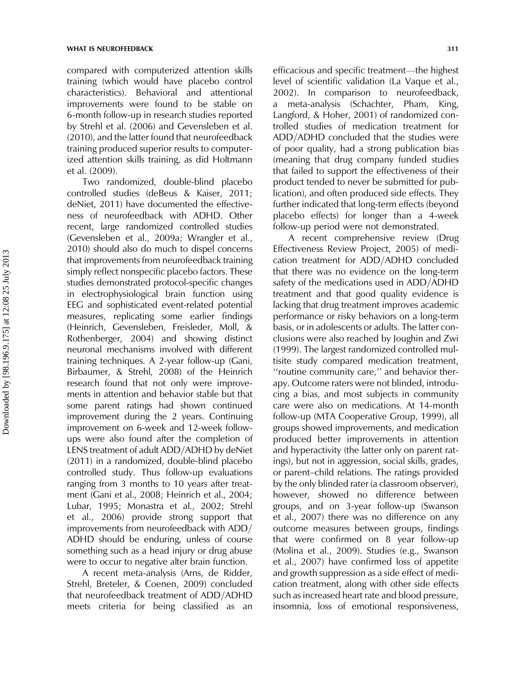compared with computerized attention skills training (which would have placebo control characteristics). Behavioral and attentional improvements were found to be stable on 6-month follow-up in research studies reported by Strehl et al. (2006) and Gevensleben et al. (2010), and the latter found that neurofeedback training produced superior results to computerized attention skills training, as did Holtmann et al. (2009).

Two randomized, double-blind placebo controlled studies (deBeus & Kaiser, 2011; deNiet, 2011) have documented the effectiveness of neurofeedback with ADHD. Other recent, large randomized controlled studies (Gevensleben et al., 2009a; Wrangler et al., 2010) should also do much to dispel concerns that improvements from neurofeedback training simply reflect nonspecific placebo factors. These studies demonstrated protocol-specific changes in electrophysiological brain function using EEG and sophisticated event-related potential measures, replicating some earlier findings (Heinrich, Gevensleben, Freisleder, Moll, & Rothenberger, 2004) and showing distinct neuronal mechanisms involved with different training techniques. A 2-year follow-up (Gani, Birbaumer, & Strehl, 2008) of the Heinrich research found that not only were improvements in attention and behavior stable but that some parent ratings had shown continued improvement during the 2 years. Continuing improvement on 6-week and 12-week followups were also found after the completion of LENS treatment of adult ADD/ADHD by deNiet (2011) in a randomized, double-blind placebo controlled study. Thus follow-up evaluations ranging from 3 months to 10 years after treatment (Gani et al., 2008; Heinrich et al., 2004; Lubar, 1995; Monastra et al., 2002; Strehl et al., 2006) provide strong support that improvements from neurofeedback with  $ADD/$ ADHD should be enduring, unless of course something such as a head injury or drug abuse were to occur to negative alter brain function.

A recent meta-analysis (Arns, de Ridder, Strehl, Breteler, & Coenen, 2009) concluded that neurofeedback treatment of ADD/ADHD meets criteria for being classified as an

efficacious and specific treatment—the highest level of scientific validation (La Vaque et al., 2002). In comparison to neurofeedback, a meta-analysis (Schachter, Pham, King, Langford, & Hoher, 2001) of randomized controlled studies of medication treatment for ADD/ADHD concluded that the studies were of poor quality, had a strong publication bias (meaning that drug company funded studies that failed to support the effectiveness of their product tended to never be submitted for publication), and often produced side effects. They further indicated that long-term effects (beyond placebo effects) for longer than a 4-week follow-up period were not demonstrated.

A recent comprehensive review (Drug Effectiveness Review Project, 2005) of medication treatment for ADD/ADHD concluded that there was no evidence on the long-term safety of the medications used in  $ADD/ADHD$ treatment and that good quality evidence is lacking that drug treatment improves academic performance or risky behaviors on a long-term basis, or in adolescents or adults. The latter conclusions were also reached by Joughin and Zwi (1999). The largest randomized controlled multisite study compared medication treatment, ''routine community care,'' and behavior therapy. Outcome raters were not blinded, introducing a bias, and most subjects in community care were also on medications. At 14-month follow-up (MTA Cooperative Group, 1999), all groups showed improvements, and medication produced better improvements in attention and hyperactivity (the latter only on parent ratings), but not in aggression, social skills, grades, or parent–child relations. The ratings provided by the only blinded rater (a classroom observer), however, showed no difference between groups, and on 3-year follow-up (Swanson et al., 2007) there was no difference on any outcome measures between groups, findings that were confirmed on 8 year follow-up (Molina et al., 2009). Studies (e.g., Swanson et al., 2007) have confirmed loss of appetite and growth suppression as a side effect of medication treatment, along with other side effects such as increased heart rate and blood pressure, insomnia, loss of emotional responsiveness,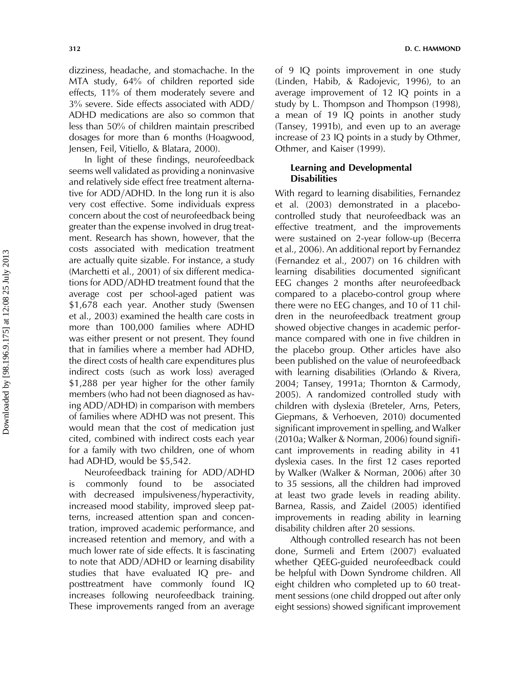dizziness, headache, and stomachache. In the MTA study, 64% of children reported side effects, 11% of them moderately severe and  $3\%$  severe. Side effects associated with ADD/ ADHD medications are also so common that less than 50% of children maintain prescribed dosages for more than 6 months (Hoagwood, Jensen, Feil, Vitiello, & Blatara, 2000).

In light of these findings, neurofeedback seems well validated as providing a noninvasive and relatively side effect free treatment alternative for  $ADD/ADHD$ . In the long run it is also very cost effective. Some individuals express concern about the cost of neurofeedback being greater than the expense involved in drug treatment. Research has shown, however, that the costs associated with medication treatment are actually quite sizable. For instance, a study (Marchetti et al., 2001) of six different medications for ADD/ADHD treatment found that the average cost per school-aged patient was \$1,678 each year. Another study (Swensen et al., 2003) examined the health care costs in more than 100,000 families where ADHD was either present or not present. They found that in families where a member had ADHD, the direct costs of health care expenditures plus indirect costs (such as work loss) averaged \$1,288 per year higher for the other family members (who had not been diagnosed as having  $ADD/ADHD$ ) in comparison with members of families where ADHD was not present. This would mean that the cost of medication just cited, combined with indirect costs each year for a family with two children, one of whom had ADHD, would be \$5,542.

Neurofeedback training for ADD/ADHD is commonly found to be associated with decreased impulsiveness/hyperactivity, increased mood stability, improved sleep patterns, increased attention span and concentration, improved academic performance, and increased retention and memory, and with a much lower rate of side effects. It is fascinating to note that ADD/ADHD or learning disability studies that have evaluated IQ pre- and posttreatment have commonly found IQ increases following neurofeedback training. These improvements ranged from an average

of 9 IQ points improvement in one study (Linden, Habib, & Radojevic, 1996), to an average improvement of 12 IQ points in a study by L. Thompson and Thompson (1998), a mean of 19 IQ points in another study (Tansey, 1991b), and even up to an average increase of 23 IQ points in a study by Othmer, Othmer, and Kaiser (1999).

## Learning and Developmental **Disabilities**

With regard to learning disabilities, Fernandez et al. (2003) demonstrated in a placebocontrolled study that neurofeedback was an effective treatment, and the improvements were sustained on 2-year follow-up (Becerra et al., 2006). An additional report by Fernandez (Fernandez et al., 2007) on 16 children with learning disabilities documented significant EEG changes 2 months after neurofeedback compared to a placebo-control group where there were no EEG changes, and 10 of 11 children in the neurofeedback treatment group showed objective changes in academic performance compared with one in five children in the placebo group. Other articles have also been published on the value of neurofeedback with learning disabilities (Orlando & Rivera, 2004; Tansey, 1991a; Thornton & Carmody, 2005). A randomized controlled study with children with dyslexia (Breteler, Arns, Peters, Giepmans, & Verhoeven, 2010) documented significant improvement in spelling, and Walker (2010a; Walker & Norman, 2006) found significant improvements in reading ability in 41 dyslexia cases. In the first 12 cases reported by Walker (Walker & Norman, 2006) after 30 to 35 sessions, all the children had improved at least two grade levels in reading ability. Barnea, Rassis, and Zaidel (2005) identified improvements in reading ability in learning disability children after 20 sessions.

Although controlled research has not been done, Surmeli and Ertem (2007) evaluated whether QEEG-guided neurofeedback could be helpful with Down Syndrome children. All eight children who completed up to 60 treatment sessions (one child dropped out after only eight sessions) showed significant improvement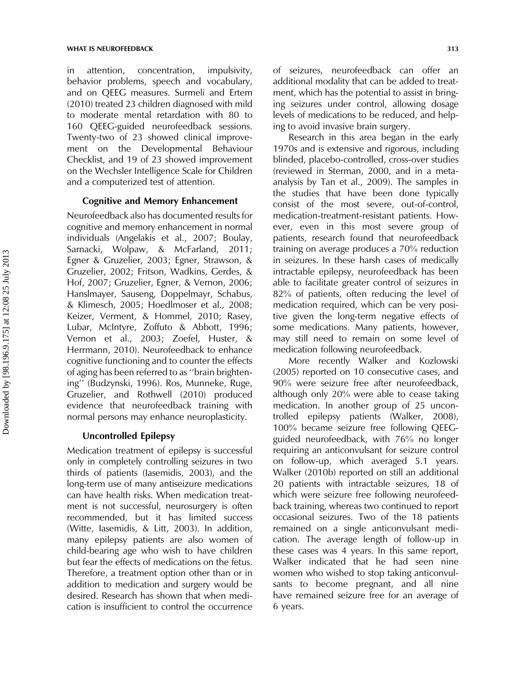#### WHAT IS NEUROFEEDBACK 313

in attention, concentration, impulsivity, behavior problems, speech and vocabulary, and on QEEG measures. Surmeli and Ertem (2010) treated 23 children diagnosed with mild to moderate mental retardation with 80 to 160 QEEG-guided neurofeedback sessions. Twenty-two of 23 showed clinical improvement on the Developmental Behaviour Checklist, and 19 of 23 showed improvement on the Wechsler Intelligence Scale for Children and a computerized test of attention.

#### Cognitive and Memory Enhancement

Neurofeedback also has documented results for cognitive and memory enhancement in normal individuals (Angelakis et al., 2007; Boulay, Sarnacki, Wolpaw, & McFarland, 2011; Egner & Gruzelier, 2003; Egner, Strawson, & Gruzelier, 2002; Fritson, Wadkins, Gerdes, & Hof, 2007; Gruzelier, Egner, & Vernon, 2006; Hanslmayer, Sauseng, Doppelmayr, Schabus, & Klimesch, 2005; Hoedlmoser et al., 2008; Keizer, Verment, & Hommel, 2010; Rasey, Lubar, McIntyre, Zoffuto & Abbott, 1996; Vernon et al., 2003; Zoefel, Huster, & Herrmann, 2010). Neurofeedback to enhance cognitive functioning and to counter the effects of aging has been referred to as ''brain brightening'' (Budzynski, 1996). Ros, Munneke, Ruge, Gruzelier, and Rothwell (2010) produced evidence that neurofeedback training with normal persons may enhance neuroplasticity.

## Uncontrolled Epilepsy

Medication treatment of epilepsy is successful only in completely controlling seizures in two thirds of patients (Iasemidis, 2003), and the long-term use of many antiseizure medications can have health risks. When medication treatment is not successful, neurosurgery is often recommended, but it has limited success (Witte, Iasemidis, & Litt, 2003). In addition, many epilepsy patients are also women of child-bearing age who wish to have children but fear the effects of medications on the fetus. Therefore, a treatment option other than or in addition to medication and surgery would be desired. Research has shown that when medication is insufficient to control the occurrence

of seizures, neurofeedback can offer an additional modality that can be added to treatment, which has the potential to assist in bringing seizures under control, allowing dosage levels of medications to be reduced, and helping to avoid invasive brain surgery.

Research in this area began in the early 1970s and is extensive and rigorous, including blinded, placebo-controlled, cross-over studies (reviewed in Sterman, 2000, and in a metaanalysis by Tan et al., 2009). The samples in the studies that have been done typically consist of the most severe, out-of-control, medication-treatment-resistant patients. However, even in this most severe group of patients, research found that neurofeedback training on average produces a 70% reduction in seizures. In these harsh cases of medically intractable epilepsy, neurofeedback has been able to facilitate greater control of seizures in 82% of patients, often reducing the level of medication required, which can be very positive given the long-term negative effects of some medications. Many patients, however, may still need to remain on some level of medication following neurofeedback.

More recently Walker and Kozlowski (2005) reported on 10 consecutive cases, and 90% were seizure free after neurofeedback, although only 20% were able to cease taking medication. In another group of 25 uncontrolled epilepsy patients (Walker, 2008), 100% became seizure free following QEEGguided neurofeedback, with 76% no longer requiring an anticonvulsant for seizure control on follow-up, which averaged 5.1 years. Walker (2010b) reported on still an additional 20 patients with intractable seizures, 18 of which were seizure free following neurofeedback training, whereas two continued to report occasional seizures. Two of the 18 patients remained on a single anticonvulsant medication. The average length of follow-up in these cases was 4 years. In this same report, Walker indicated that he had seen nine women who wished to stop taking anticonvulsants to become pregnant, and all nine have remained seizure free for an average of 6 years.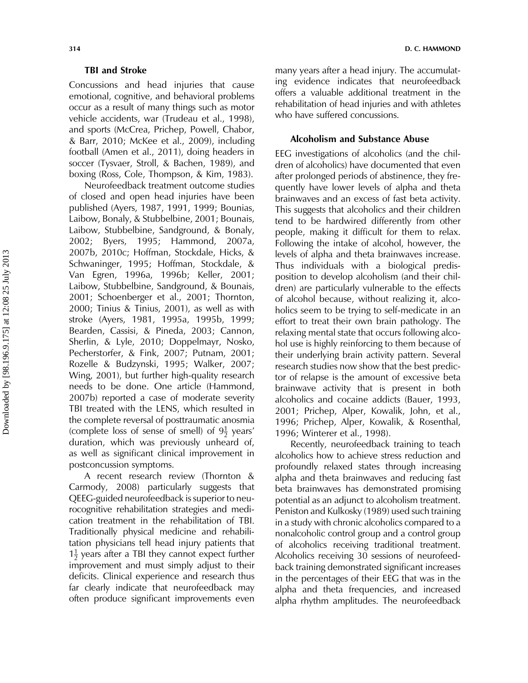## TBI and Stroke

Concussions and head injuries that cause emotional, cognitive, and behavioral problems occur as a result of many things such as motor vehicle accidents, war (Trudeau et al., 1998), and sports (McCrea, Prichep, Powell, Chabor, & Barr, 2010; McKee et al., 2009), including football (Amen et al., 2011), doing headers in soccer (Tysvaer, Stroll, & Bachen, 1989), and boxing (Ross, Cole, Thompson, & Kim, 1983).

Neurofeedback treatment outcome studies of closed and open head injuries have been published (Ayers, 1987, 1991, 1999; Bounias, Laibow, Bonaly, & Stubbelbine, 2001; Bounais, Laibow, Stubbelbine, Sandground, & Bonaly, 2002; Byers, 1995; Hammond, 2007a, 2007b, 2010c; Hoffman, Stockdale, Hicks, & Schwaninger, 1995; Hoffman, Stockdale, & Van Egren, 1996a, 1996b; Keller, 2001; Laibow, Stubbelbine, Sandground, & Bounais, 2001; Schoenberger et al., 2001; Thornton, 2000; Tinius & Tinius, 2001), as well as with stroke (Ayers, 1981, 1995a, 1995b, 1999; Bearden, Cassisi, & Pineda, 2003; Cannon, Sherlin, & Lyle, 2010; Doppelmayr, Nosko, Pecherstorfer, & Fink, 2007; Putnam, 2001; Rozelle & Budzynski, 1995; Walker, 2007; Wing, 2001), but further high-quality research needs to be done. One article (Hammond, 2007b) reported a case of moderate severity TBI treated with the LENS, which resulted in the complete reversal of posttraumatic anosmia (complete loss of sense of smell) of  $9\frac{1}{2}$  years' duration, which was previously unheard of, as well as significant clinical improvement in postconcussion symptoms.

A recent research review (Thornton & Carmody, 2008) particularly suggests that QEEG-guided neurofeedback is superior to neurocognitive rehabilitation strategies and medication treatment in the rehabilitation of TBI. Traditionally physical medicine and rehabilitation physicians tell head injury patients that  $1\frac{1}{2}$  years after a TBI they cannot expect further improvement and must simply adjust to their deficits. Clinical experience and research thus far clearly indicate that neurofeedback may often produce significant improvements even

many years after a head injury. The accumulating evidence indicates that neurofeedback offers a valuable additional treatment in the rehabilitation of head injuries and with athletes who have suffered concussions.

#### Alcoholism and Substance Abuse

EEG investigations of alcoholics (and the children of alcoholics) have documented that even after prolonged periods of abstinence, they frequently have lower levels of alpha and theta brainwaves and an excess of fast beta activity. This suggests that alcoholics and their children tend to be hardwired differently from other people, making it difficult for them to relax. Following the intake of alcohol, however, the levels of alpha and theta brainwaves increase. Thus individuals with a biological predisposition to develop alcoholism (and their children) are particularly vulnerable to the effects of alcohol because, without realizing it, alcoholics seem to be trying to self-medicate in an effort to treat their own brain pathology. The relaxing mental state that occurs following alcohol use is highly reinforcing to them because of their underlying brain activity pattern. Several research studies now show that the best predictor of relapse is the amount of excessive beta brainwave activity that is present in both alcoholics and cocaine addicts (Bauer, 1993, 2001; Prichep, Alper, Kowalik, John, et al., 1996; Prichep, Alper, Kowalik, & Rosenthal, 1996; Winterer et al., 1998).

Recently, neurofeedback training to teach alcoholics how to achieve stress reduction and profoundly relaxed states through increasing alpha and theta brainwaves and reducing fast beta brainwaves has demonstrated promising potential as an adjunct to alcoholism treatment. Peniston and Kulkosky (1989) used such training in a study with chronic alcoholics compared to a nonalcoholic control group and a control group of alcoholics receiving traditional treatment. Alcoholics receiving 30 sessions of neurofeedback training demonstrated significant increases in the percentages of their EEG that was in the alpha and theta frequencies, and increased alpha rhythm amplitudes. The neurofeedback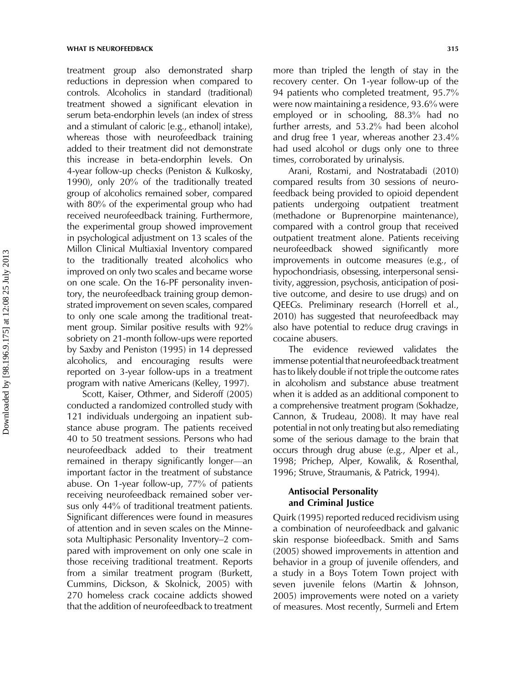treatment group also demonstrated sharp reductions in depression when compared to controls. Alcoholics in standard (traditional) treatment showed a significant elevation in serum beta-endorphin levels (an index of stress and a stimulant of caloric [e.g., ethanol] intake), whereas those with neurofeedback training added to their treatment did not demonstrate this increase in beta-endorphin levels. On 4-year follow-up checks (Peniston & Kulkosky, 1990), only 20% of the traditionally treated group of alcoholics remained sober, compared with 80% of the experimental group who had received neurofeedback training. Furthermore, the experimental group showed improvement in psychological adjustment on 13 scales of the Millon Clinical Multiaxial Inventory compared to the traditionally treated alcoholics who improved on only two scales and became worse on one scale. On the 16-PF personality inventory, the neurofeedback training group demonstrated improvement on seven scales, compared to only one scale among the traditional treatment group. Similar positive results with 92% sobriety on 21-month follow-ups were reported by Saxby and Peniston (1995) in 14 depressed alcoholics, and encouraging results were reported on 3-year follow-ups in a treatment program with native Americans (Kelley, 1997).

Scott, Kaiser, Othmer, and Sideroff (2005) conducted a randomized controlled study with 121 individuals undergoing an inpatient substance abuse program. The patients received 40 to 50 treatment sessions. Persons who had neurofeedback added to their treatment remained in therapy significantly longer—an important factor in the treatment of substance abuse. On 1-year follow-up, 77% of patients receiving neurofeedback remained sober versus only 44% of traditional treatment patients. Significant differences were found in measures of attention and in seven scales on the Minnesota Multiphasic Personality Inventory–2 compared with improvement on only one scale in those receiving traditional treatment. Reports from a similar treatment program (Burkett, Cummins, Dickson, & Skolnick, 2005) with 270 homeless crack cocaine addicts showed that the addition of neurofeedback to treatment

more than tripled the length of stay in the recovery center. On 1-year follow-up of the 94 patients who completed treatment, 95.7% were now maintaining a residence, 93.6% were employed or in schooling, 88.3% had no further arrests, and 53.2% had been alcohol and drug free 1 year, whereas another 23.4% had used alcohol or dugs only one to three times, corroborated by urinalysis.

Arani, Rostami, and Nostratabadi (2010) compared results from 30 sessions of neurofeedback being provided to opioid dependent patients undergoing outpatient treatment (methadone or Buprenorpine maintenance), compared with a control group that received outpatient treatment alone. Patients receiving neurofeedback showed significantly more improvements in outcome measures (e.g., of hypochondriasis, obsessing, interpersonal sensitivity, aggression, psychosis, anticipation of positive outcome, and desire to use drugs) and on QEEGs. Preliminary research (Horrell et al., 2010) has suggested that neurofeedback may also have potential to reduce drug cravings in cocaine abusers.

The evidence reviewed validates the immense potential that neurofeedback treatment has to likely double if not triple the outcome rates in alcoholism and substance abuse treatment when it is added as an additional component to a comprehensive treatment program (Sokhadze, Cannon, & Trudeau, 2008). It may have real potential in not only treating but also remediating some of the serious damage to the brain that occurs through drug abuse (e.g., Alper et al., 1998; Prichep, Alper, Kowalik, & Rosenthal, 1996; Struve, Straumanis, & Patrick, 1994).

# Antisocial Personality and Criminal Justice

Quirk (1995) reported reduced recidivism using a combination of neurofeedback and galvanic skin response biofeedback. Smith and Sams (2005) showed improvements in attention and behavior in a group of juvenile offenders, and a study in a Boys Totem Town project with seven juvenile felons (Martin & Johnson, 2005) improvements were noted on a variety of measures. Most recently, Surmeli and Ertem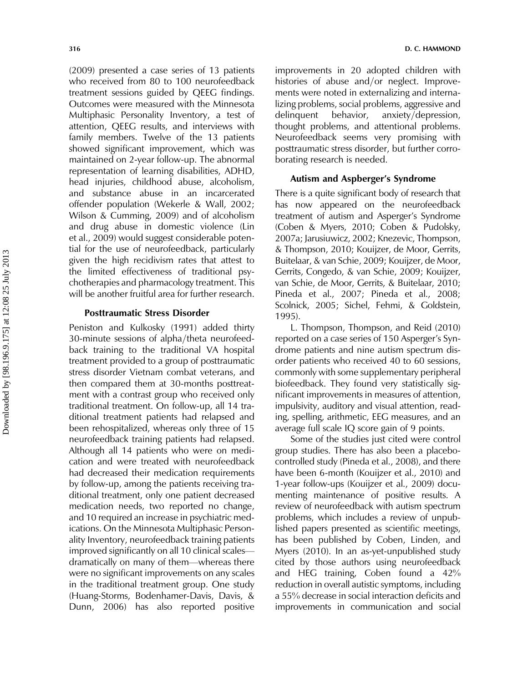(2009) presented a case series of 13 patients who received from 80 to 100 neurofeedback treatment sessions guided by QEEG findings. Outcomes were measured with the Minnesota Multiphasic Personality Inventory, a test of attention, QEEG results, and interviews with family members. Twelve of the 13 patients showed significant improvement, which was maintained on 2-year follow-up. The abnormal representation of learning disabilities, ADHD, head injuries, childhood abuse, alcoholism, and substance abuse in an incarcerated offender population (Wekerle & Wall, 2002; Wilson & Cumming, 2009) and of alcoholism and drug abuse in domestic violence (Lin et al., 2009) would suggest considerable potential for the use of neurofeedback, particularly given the high recidivism rates that attest to the limited effectiveness of traditional psychotherapies and pharmacology treatment. This will be another fruitful area for further research.

## Posttraumatic Stress Disorder

Peniston and Kulkosky (1991) added thirty 30-minute sessions of alpha/theta neurofeedback training to the traditional VA hospital treatment provided to a group of posttraumatic stress disorder Vietnam combat veterans, and then compared them at 30-months posttreatment with a contrast group who received only traditional treatment. On follow-up, all 14 traditional treatment patients had relapsed and been rehospitalized, whereas only three of 15 neurofeedback training patients had relapsed. Although all 14 patients who were on medication and were treated with neurofeedback had decreased their medication requirements by follow-up, among the patients receiving traditional treatment, only one patient decreased medication needs, two reported no change, and 10 required an increase in psychiatric medications. On the Minnesota Multiphasic Personality Inventory, neurofeedback training patients improved significantly on all 10 clinical scales dramatically on many of them—whereas there were no significant improvements on any scales in the traditional treatment group. One study (Huang-Storms, Bodenhamer-Davis, Davis, & Dunn, 2006) has also reported positive

improvements in 20 adopted children with histories of abuse and/or neglect. Improvements were noted in externalizing and internalizing problems, social problems, aggressive and delinquent behavior, anxiety/depression, thought problems, and attentional problems. Neurofeedback seems very promising with posttraumatic stress disorder, but further corroborating research is needed.

## Autism and Aspberger's Syndrome

There is a quite significant body of research that has now appeared on the neurofeedback treatment of autism and Asperger's Syndrome (Coben & Myers, 2010; Coben & Pudolsky, 2007a; Jarusiuwicz, 2002; Knezevic, Thompson, & Thompson, 2010; Kouijzer, de Moor, Gerrits, Buitelaar, & van Schie, 2009; Kouijzer, de Moor, Gerrits, Congedo, & van Schie, 2009; Kouijzer, van Schie, de Moor, Gerrits, & Buitelaar, 2010; Pineda et al., 2007; Pineda et al., 2008; Scolnick, 2005; Sichel, Fehmi, & Goldstein, 1995).

L. Thompson, Thompson, and Reid (2010) reported on a case series of 150 Asperger's Syndrome patients and nine autism spectrum disorder patients who received 40 to 60 sessions, commonly with some supplementary peripheral biofeedback. They found very statistically significant improvements in measures of attention, impulsivity, auditory and visual attention, reading, spelling, arithmetic, EEG measures, and an average full scale IQ score gain of 9 points.

Some of the studies just cited were control group studies. There has also been a placebocontrolled study (Pineda et al., 2008), and there have been 6-month (Kouijzer et al., 2010) and 1-year follow-ups (Kouijzer et al., 2009) documenting maintenance of positive results. A review of neurofeedback with autism spectrum problems, which includes a review of unpublished papers presented as scientific meetings, has been published by Coben, Linden, and Myers (2010). In an as-yet-unpublished study cited by those authors using neurofeedback and HEG training, Coben found a 42% reduction in overall autistic symptoms, including a 55% decrease in social interaction deficits and improvements in communication and social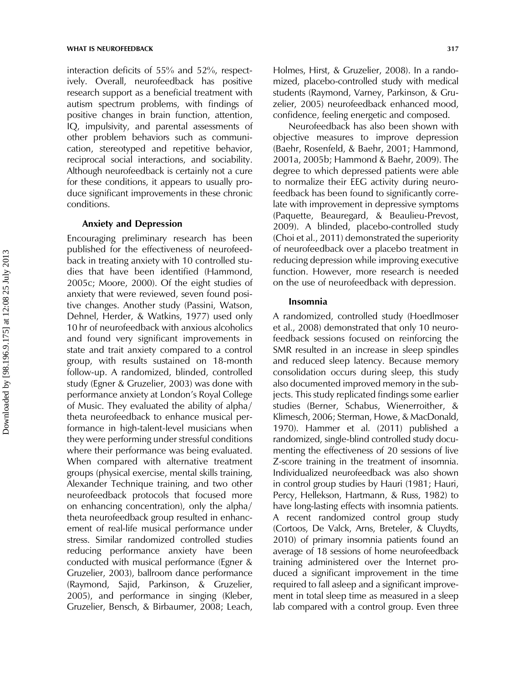interaction deficits of 55% and 52%, respectively. Overall, neurofeedback has positive research support as a beneficial treatment with autism spectrum problems, with findings of positive changes in brain function, attention, IQ, impulsivity, and parental assessments of other problem behaviors such as communication, stereotyped and repetitive behavior, reciprocal social interactions, and sociability. Although neurofeedback is certainly not a cure for these conditions, it appears to usually produce significant improvements in these chronic conditions.

#### Anxiety and Depression

Encouraging preliminary research has been published for the effectiveness of neurofeedback in treating anxiety with 10 controlled studies that have been identified (Hammond, 2005c; Moore, 2000). Of the eight studies of anxiety that were reviewed, seven found positive changes. Another study (Passini, Watson, Dehnel, Herder, & Watkins, 1977) used only 10 hr of neurofeedback with anxious alcoholics and found very significant improvements in state and trait anxiety compared to a control group, with results sustained on 18-month follow-up. A randomized, blinded, controlled study (Egner & Gruzelier, 2003) was done with performance anxiety at London's Royal College of Music. They evaluated the ability of alpha/ theta neurofeedback to enhance musical performance in high-talent-level musicians when they were performing under stressful conditions where their performance was being evaluated. When compared with alternative treatment groups (physical exercise, mental skills training, Alexander Technique training, and two other neurofeedback protocols that focused more on enhancing concentration), only the alpha/ theta neurofeedback group resulted in enhancement of real-life musical performance under stress. Similar randomized controlled studies reducing performance anxiety have been conducted with musical performance (Egner & Gruzelier, 2003), ballroom dance performance (Raymond, Sajid, Parkinson, & Gruzelier, 2005), and performance in singing (Kleber, Gruzelier, Bensch, & Birbaumer, 2008; Leach, Holmes, Hirst, & Gruzelier, 2008). In a randomized, placebo-controlled study with medical students (Raymond, Varney, Parkinson, & Gruzelier, 2005) neurofeedback enhanced mood, confidence, feeling energetic and composed.

Neurofeedback has also been shown with objective measures to improve depression (Baehr, Rosenfeld, & Baehr, 2001; Hammond, 2001a, 2005b; Hammond & Baehr, 2009). The degree to which depressed patients were able to normalize their EEG activity during neurofeedback has been found to significantly correlate with improvement in depressive symptoms (Paquette, Beauregard, & Beaulieu-Prevost, 2009). A blinded, placebo-controlled study (Choi et al., 2011) demonstrated the superiority of neurofeedback over a placebo treatment in reducing depression while improving executive function. However, more research is needed on the use of neurofeedback with depression.

#### Insomnia

A randomized, controlled study (Hoedlmoser et al., 2008) demonstrated that only 10 neurofeedback sessions focused on reinforcing the SMR resulted in an increase in sleep spindles and reduced sleep latency. Because memory consolidation occurs during sleep, this study also documented improved memory in the subjects. This study replicated findings some earlier studies (Berner, Schabus, Wienerroither, & Klimesch, 2006; Sterman, Howe, & MacDonald, 1970). Hammer et al. (2011) published a randomized, single-blind controlled study documenting the effectiveness of 20 sessions of live Z-score training in the treatment of insomnia. Individualized neurofeedback was also shown in control group studies by Hauri (1981; Hauri, Percy, Hellekson, Hartmann, & Russ, 1982) to have long-lasting effects with insomnia patients. A recent randomized control group study (Cortoos, De Valck, Arns, Breteler, & Cluydts, 2010) of primary insomnia patients found an average of 18 sessions of home neurofeedback training administered over the Internet produced a significant improvement in the time required to fall asleep and a significant improvement in total sleep time as measured in a sleep lab compared with a control group. Even three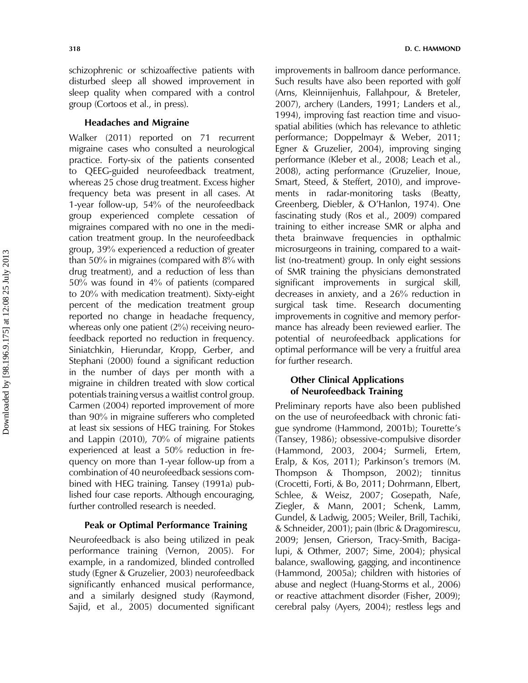schizophrenic or schizoaffective patients with disturbed sleep all showed improvement in sleep quality when compared with a control group (Cortoos et al., in press).

### Headaches and Migraine

Walker (2011) reported on 71 recurrent migraine cases who consulted a neurological practice. Forty-six of the patients consented to QEEG-guided neurofeedback treatment, whereas 25 chose drug treatment. Excess higher frequency beta was present in all cases. At 1-year follow-up, 54% of the neurofeedback group experienced complete cessation of migraines compared with no one in the medication treatment group. In the neurofeedback group, 39% experienced a reduction of greater than 50% in migraines (compared with 8% with drug treatment), and a reduction of less than 50% was found in 4% of patients (compared to 20% with medication treatment). Sixty-eight percent of the medication treatment group reported no change in headache frequency, whereas only one patient (2%) receiving neurofeedback reported no reduction in frequency. Siniatchkin, Hierundar, Kropp, Gerber, and Stephani (2000) found a significant reduction in the number of days per month with a migraine in children treated with slow cortical potentials training versus a waitlist control group. Carmen (2004) reported improvement of more than 90% in migraine sufferers who completed at least six sessions of HEG training. For Stokes and Lappin (2010), 70% of migraine patients experienced at least a 50% reduction in frequency on more than 1-year follow-up from a combination of 40 neurofeedback sessions combined with HEG training. Tansey (1991a) published four case reports. Although encouraging, further controlled research is needed.

## Peak or Optimal Performance Training

Neurofeedback is also being utilized in peak performance training (Vernon, 2005). For example, in a randomized, blinded controlled study (Egner & Gruzelier, 2003) neurofeedback significantly enhanced musical performance, and a similarly designed study (Raymond, Sajid, et al., 2005) documented significant improvements in ballroom dance performance. Such results have also been reported with golf (Arns, Kleinnijenhuis, Fallahpour, & Breteler, 2007), archery (Landers, 1991; Landers et al., 1994), improving fast reaction time and visuospatial abilities (which has relevance to athletic performance; Doppelmayr & Weber, 2011; Egner & Gruzelier, 2004), improving singing performance (Kleber et al., 2008; Leach et al., 2008), acting performance (Gruzelier, Inoue, Smart, Steed, & Steffert, 2010), and improvements in radar-monitoring tasks (Beatty, Greenberg, Diebler, & O'Hanlon, 1974). One fascinating study (Ros et al., 2009) compared training to either increase SMR or alpha and theta brainwave frequencies in opthalmic microsurgeons in training, compared to a waitlist (no-treatment) group. In only eight sessions of SMR training the physicians demonstrated significant improvements in surgical skill, decreases in anxiety, and a 26% reduction in surgical task time. Research documenting improvements in cognitive and memory performance has already been reviewed earlier. The potential of neurofeedback applications for optimal performance will be very a fruitful area for further research.

# Other Clinical Applications of Neurofeedback Training

Preliminary reports have also been published on the use of neurofeedback with chronic fatigue syndrome (Hammond, 2001b); Tourette's (Tansey, 1986); obsessive-compulsive disorder (Hammond, 2003, 2004; Surmeli, Ertem, Eralp, & Kos, 2011); Parkinson's tremors (M. Thompson & Thompson, 2002); tinnitus (Crocetti, Forti, & Bo, 2011; Dohrmann, Elbert, Schlee, & Weisz, 2007; Gosepath, Nafe, Ziegler, & Mann, 2001; Schenk, Lamm, Gundel, & Ladwig, 2005; Weiler, Brill, Tachiki, & Schneider, 2001); pain (Ibric & Dragomirescu, 2009; Jensen, Grierson, Tracy-Smith, Bacigalupi, & Othmer, 2007; Sime, 2004); physical balance, swallowing, gagging, and incontinence (Hammond, 2005a); children with histories of abuse and neglect (Huang-Storms et al., 2006) or reactive attachment disorder (Fisher, 2009); cerebral palsy (Ayers, 2004); restless legs and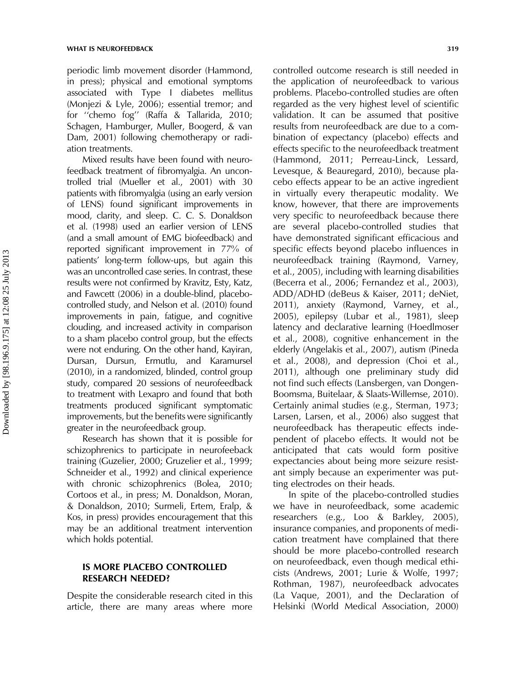periodic limb movement disorder (Hammond, in press); physical and emotional symptoms associated with Type I diabetes mellitus (Monjezi & Lyle, 2006); essential tremor; and for ''chemo fog'' (Raffa & Tallarida, 2010; Schagen, Hamburger, Muller, Boogerd, & van Dam, 2001) following chemotherapy or radiation treatments.

Mixed results have been found with neurofeedback treatment of fibromyalgia. An uncontrolled trial (Mueller et al., 2001) with 30 patients with fibromyalgia (using an early version of LENS) found significant improvements in mood, clarity, and sleep. C. C. S. Donaldson et al. (1998) used an earlier version of LENS (and a small amount of EMG biofeedback) and reported significant improvement in 77% of patients' long-term follow-ups, but again this was an uncontrolled case series. In contrast, these results were not confirmed by Kravitz, Esty, Katz, and Fawcett (2006) in a double-blind, placebocontrolled study, and Nelson et al. (2010) found improvements in pain, fatigue, and cognitive clouding, and increased activity in comparison to a sham placebo control group, but the effects were not enduring. On the other hand, Kayiran, Dursan, Dursun, Ermutlu, and Karamursel (2010), in a randomized, blinded, control group study, compared 20 sessions of neurofeedback to treatment with Lexapro and found that both treatments produced significant symptomatic improvements, but the benefits were significantly greater in the neurofeedback group.

Research has shown that it is possible for schizophrenics to participate in neurofeeback training (Guzelier, 2000; Gruzelier et al., 1999; Schneider et al., 1992) and clinical experience with chronic schizophrenics (Bolea, 2010; Cortoos et al., in press; M. Donaldson, Moran, & Donaldson, 2010; Surmeli, Ertem, Eralp, & Kos, in press) provides encouragement that this may be an additional treatment intervention which holds potential.

## IS MORE PLACEBO CONTROLLED RESEARCH NEEDED?

Despite the considerable research cited in this article, there are many areas where more controlled outcome research is still needed in the application of neurofeedback to various problems. Placebo-controlled studies are often regarded as the very highest level of scientific validation. It can be assumed that positive results from neurofeedback are due to a combination of expectancy (placebo) effects and effects specific to the neurofeedback treatment (Hammond, 2011; Perreau-Linck, Lessard, Levesque, & Beauregard, 2010), because placebo effects appear to be an active ingredient in virtually every therapeutic modality. We know, however, that there are improvements very specific to neurofeedback because there are several placebo-controlled studies that have demonstrated significant efficacious and specific effects beyond placebo influences in neurofeedback training (Raymond, Varney, et al., 2005), including with learning disabilities (Becerra et al., 2006; Fernandez et al., 2003), ADD/ADHD (deBeus & Kaiser, 2011; deNiet, 2011), anxiety (Raymond, Varney, et al., 2005), epilepsy (Lubar et al., 1981), sleep latency and declarative learning (Hoedlmoser et al., 2008), cognitive enhancement in the elderly (Angelakis et al., 2007), autism (Pineda et al., 2008), and depression (Choi et al., 2011), although one preliminary study did not find such effects (Lansbergen, van Dongen-Boomsma, Buitelaar, & Slaats-Willemse, 2010). Certainly animal studies (e.g., Sterman, 1973; Larsen, Larsen, et al., 2006) also suggest that neurofeedback has therapeutic effects independent of placebo effects. It would not be anticipated that cats would form positive expectancies about being more seizure resistant simply because an experimenter was putting electrodes on their heads.

In spite of the placebo-controlled studies we have in neurofeedback, some academic researchers (e.g., Loo & Barkley, 2005), insurance companies, and proponents of medication treatment have complained that there should be more placebo-controlled research on neurofeedback, even though medical ethicists (Andrews, 2001; Lurie & Wolfe, 1997; Rothman, 1987), neurofeedback advocates (La Vaque, 2001), and the Declaration of Helsinki (World Medical Association, 2000)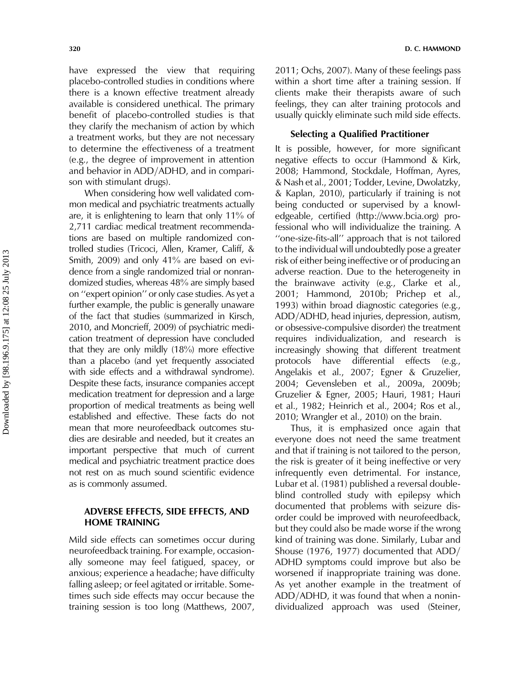have expressed the view that requiring placebo-controlled studies in conditions where there is a known effective treatment already available is considered unethical. The primary benefit of placebo-controlled studies is that they clarify the mechanism of action by which a treatment works, but they are not necessary to determine the effectiveness of a treatment (e.g., the degree of improvement in attention and behavior in  $ADD/ADHD$ , and in comparison with stimulant drugs).

When considering how well validated common medical and psychiatric treatments actually are, it is enlightening to learn that only 11% of 2,711 cardiac medical treatment recommendations are based on multiple randomized controlled studies (Tricoci, Allen, Kramer, Califf, & Smith, 2009) and only 41% are based on evidence from a single randomized trial or nonrandomized studies, whereas 48% are simply based on ''expert opinion'' or only case studies. As yet a further example, the public is generally unaware of the fact that studies (summarized in Kirsch, 2010, and Moncrieff, 2009) of psychiatric medication treatment of depression have concluded that they are only mildly (18%) more effective than a placebo (and yet frequently associated with side effects and a withdrawal syndrome). Despite these facts, insurance companies accept medication treatment for depression and a large proportion of medical treatments as being well established and effective. These facts do not mean that more neurofeedback outcomes studies are desirable and needed, but it creates an important perspective that much of current medical and psychiatric treatment practice does not rest on as much sound scientific evidence as is commonly assumed.

## ADVERSE EFFECTS, SIDE EFFECTS, AND HOME TRAINING

Mild side effects can sometimes occur during neurofeedback training. For example, occasionally someone may feel fatigued, spacey, or anxious; experience a headache; have difficulty falling asleep; or feel agitated or irritable. Sometimes such side effects may occur because the training session is too long (Matthews, 2007,

2011; Ochs, 2007). Many of these feelings pass within a short time after a training session. If clients make their therapists aware of such feelings, they can alter training protocols and usually quickly eliminate such mild side effects.

### Selecting a Qualified Practitioner

It is possible, however, for more significant negative effects to occur (Hammond & Kirk, 2008; Hammond, Stockdale, Hoffman, Ayres, & Nash et al., 2001; Todder, Levine, Dwolatzky, & Kaplan, 2010), particularly if training is not being conducted or supervised by a knowledgeable, certified (http://www.bcia.org) professional who will individualize the training. A ''one-size-fits-all'' approach that is not tailored to the individual will undoubtedly pose a greater risk of either being ineffective or of producing an adverse reaction. Due to the heterogeneity in the brainwave activity (e.g., Clarke et al., 2001; Hammond, 2010b; Prichep et al., 1993) within broad diagnostic categories (e.g., ADD/ADHD, head injuries, depression, autism, or obsessive-compulsive disorder) the treatment requires individualization, and research is increasingly showing that different treatment protocols have differential effects (e.g., Angelakis et al., 2007; Egner & Gruzelier, 2004; Gevensleben et al., 2009a, 2009b; Gruzelier & Egner, 2005; Hauri, 1981; Hauri et al., 1982; Heinrich et al., 2004; Ros et al., 2010; Wrangler et al., 2010) on the brain.

Thus, it is emphasized once again that everyone does not need the same treatment and that if training is not tailored to the person, the risk is greater of it being ineffective or very infrequently even detrimental. For instance, Lubar et al. (1981) published a reversal doubleblind controlled study with epilepsy which documented that problems with seizure disorder could be improved with neurofeedback, but they could also be made worse if the wrong kind of training was done. Similarly, Lubar and Shouse (1976, 1977) documented that  $ADD/$ ADHD symptoms could improve but also be worsened if inappropriate training was done. As yet another example in the treatment of  $ADD/ADHD$ , it was found that when a nonindividualized approach was used (Steiner,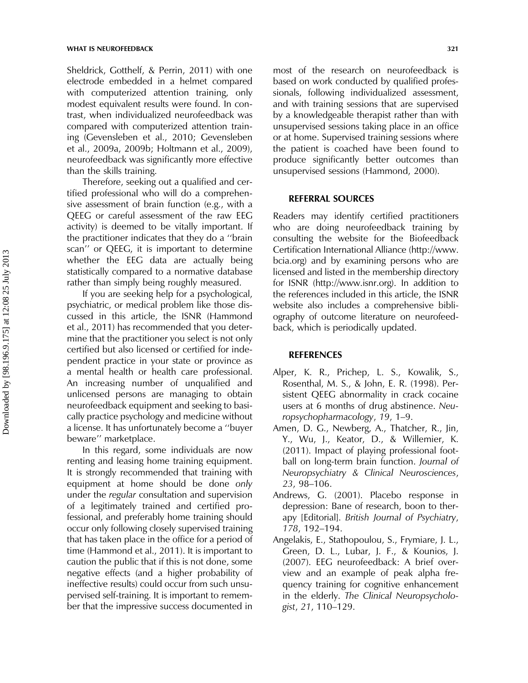Sheldrick, Gotthelf, & Perrin, 2011) with one electrode embedded in a helmet compared with computerized attention training, only modest equivalent results were found. In contrast, when individualized neurofeedback was compared with computerized attention training (Gevensleben et al., 2010; Gevensleben et al., 2009a, 2009b; Holtmann et al., 2009), neurofeedback was significantly more effective than the skills training.

Therefore, seeking out a qualified and certified professional who will do a comprehensive assessment of brain function (e.g., with a QEEG or careful assessment of the raw EEG activity) is deemed to be vitally important. If the practitioner indicates that they do a ''brain scan'' or QEEG, it is important to determine whether the EEG data are actually being statistically compared to a normative database rather than simply being roughly measured.

If you are seeking help for a psychological, psychiatric, or medical problem like those discussed in this article, the ISNR (Hammond et al., 2011) has recommended that you determine that the practitioner you select is not only certified but also licensed or certified for independent practice in your state or province as a mental health or health care professional. An increasing number of unqualified and unlicensed persons are managing to obtain neurofeedback equipment and seeking to basically practice psychology and medicine without a license. It has unfortunately become a ''buyer beware'' marketplace.

In this regard, some individuals are now renting and leasing home training equipment. It is strongly recommended that training with equipment at home should be done only under the regular consultation and supervision of a legitimately trained and certified professional, and preferably home training should occur only following closely supervised training that has taken place in the office for a period of time (Hammond et al., 2011). It is important to caution the public that if this is not done, some negative effects (and a higher probability of ineffective results) could occur from such unsupervised self-training. It is important to remember that the impressive success documented in

most of the research on neurofeedback is based on work conducted by qualified professionals, following individualized assessment, and with training sessions that are supervised by a knowledgeable therapist rather than with unsupervised sessions taking place in an office or at home. Supervised training sessions where the patient is coached have been found to produce significantly better outcomes than unsupervised sessions (Hammond, 2000).

# REFERRAL SOURCES

Readers may identify certified practitioners who are doing neurofeedback training by consulting the website for the Biofeedback Certification International Alliance (http://www. bcia.org) and by examining persons who are licensed and listed in the membership directory for ISNR (http://www.isnr.org). In addition to the references included in this article, the ISNR website also includes a comprehensive bibliography of outcome literature on neurofeedback, which is periodically updated.

#### **REFERENCES**

- Alper, K. R., Prichep, L. S., Kowalik, S., Rosenthal, M. S., & John, E. R. (1998). Persistent QEEG abnormality in crack cocaine users at 6 months of drug abstinence. Neuropsychopharmacology, 19, 1–9.
- Amen, D. G., Newberg, A., Thatcher, R., Jin, Y., Wu, J., Keator, D., & Willemier, K. (2011). Impact of playing professional football on long-term brain function. Journal of Neuropsychiatry & Clinical Neurosciences, 23, 98–106.
- Andrews, G. (2001). Placebo response in depression: Bane of research, boon to therapy [Editorial]. British Journal of Psychiatry, 178, 192–194.
- Angelakis, E., Stathopoulou, S., Frymiare, J. L., Green, D. L., Lubar, J. F., & Kounios, J. (2007). EEG neurofeedback: A brief overview and an example of peak alpha frequency training for cognitive enhancement in the elderly. The Clinical Neuropsychologist, 21, 110–129.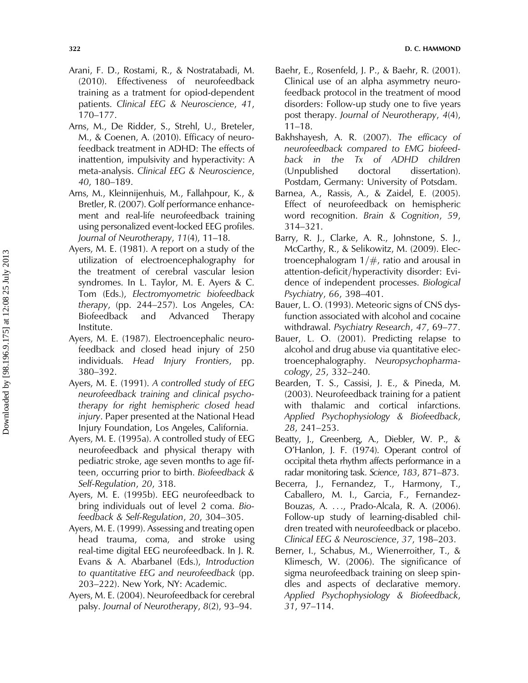- Arani, F. D., Rostami, R., & Nostratabadi, M. (2010). Effectiveness of neurofeedback training as a tratment for opiod-dependent patients. Clinical EEG & Neuroscience, 41, 170–177.
- Arns, M., De Ridder, S., Strehl, U., Breteler, M., & Coenen, A. (2010). Efficacy of neurofeedback treatment in ADHD: The effects of inattention, impulsivity and hyperactivity: A meta-analysis. Clinical EEG & Neuroscience, 40, 180–189.
- Arns, M., Kleinnijenhuis, M., Fallahpour, K., & Bretler, R. (2007). Golf performance enhancement and real-life neurofeedback training using personalized event-locked EEG profiles. Journal of Neurotherapy, 11(4), 11–18.
- Ayers, M. E. (1981). A report on a study of the utilization of electroencephalography for the treatment of cerebral vascular lesion syndromes. In L. Taylor, M. E. Ayers & C. Tom (Eds.), Electromyometric biofeedback therapy, (pp. 244–257). Los Angeles, CA: Biofeedback and Advanced Therapy Institute.
- Ayers, M. E. (1987). Electroencephalic neurofeedback and closed head injury of 250 individuals. Head Injury Frontiers, pp. 380–392.
- Ayers, M. E. (1991). A controlled study of EEG neurofeedback training and clinical psychotherapy for right hemispheric closed head injury. Paper presented at the National Head Injury Foundation, Los Angeles, California.
- Ayers, M. E. (1995a). A controlled study of EEG neurofeedback and physical therapy with pediatric stroke, age seven months to age fifteen, occurring prior to birth. Biofeedback & Self-Regulation, 20, 318.
- Ayers, M. E. (1995b). EEG neurofeedback to bring individuals out of level 2 coma. Biofeedback & Self-Regulation, 20, 304–305.
- Ayers, M. E. (1999). Assessing and treating open head trauma, coma, and stroke using real-time digital EEG neurofeedback. In J. R. Evans & A. Abarbanel (Eds.), Introduction to quantitative EEG and neurofeedback (pp. 203–222). New York, NY: Academic.
- Ayers, M. E. (2004). Neurofeedback for cerebral palsy. Journal of Neurotherapy, 8(2), 93–94.
- Baehr, E., Rosenfeld, J. P., & Baehr, R. (2001). Clinical use of an alpha asymmetry neurofeedback protocol in the treatment of mood disorders: Follow-up study one to five years post therapy. Journal of Neurotherapy, 4(4), 11–18.
- Bakhshayesh, A. R. (2007). The efficacy of neurofeedback compared to EMG biofeedback in the Tx of ADHD children (Unpublished doctoral dissertation). Postdam, Germany: University of Potsdam.
- Barnea, A., Rassis, A., & Zaidel, E. (2005). Effect of neurofeedback on hemispheric word recognition. Brain & Cognition, 59, 314–321.
- Barry, R. J., Clarke, A. R., Johnstone, S. J., McCarthy, R., & Selikowitz, M. (2009). Electroencephalogram  $1/\#$ , ratio and arousal in attention-deficit/hyperactivity disorder: Evidence of independent processes. Biological Psychiatry, 66, 398–401.
- Bauer, L. O. (1993). Meteoric signs of CNS dysfunction associated with alcohol and cocaine withdrawal. Psychiatry Research, 47, 69–77.
- Bauer, L. O. (2001). Predicting relapse to alcohol and drug abuse via quantitative electroencephalography. Neuropsychopharmacology, 25, 332–240.
- Bearden, T. S., Cassisi, J. E., & Pineda, M. (2003). Neurofeedback training for a patient with thalamic and cortical infarctions. Applied Psychophysiology & Biofeedback, 28, 241–253.
- Beatty, J., Greenberg, A., Diebler, W. P., & O'Hanlon, J. F. (1974). Operant control of occipital theta rhythm affects performance in a radar monitoring task. Science, 183, 871–873.
- Becerra, J., Fernandez, T., Harmony, T., Caballero, M. I., Garcia, F., Fernandez-Bouzas, A. ..., Prado-Alcala, R. A. (2006). Follow-up study of learning-disabled children treated with neurofeedback or placebo. Clinical EEG & Neuroscience, 37, 198–203.
- Berner, I., Schabus, M., Wienerroither, T., & Klimesch, W. (2006). The significance of sigma neurofeedback training on sleep spindles and aspects of declarative memory. Applied Psychophysiology & Biofeedback, 31, 97–114.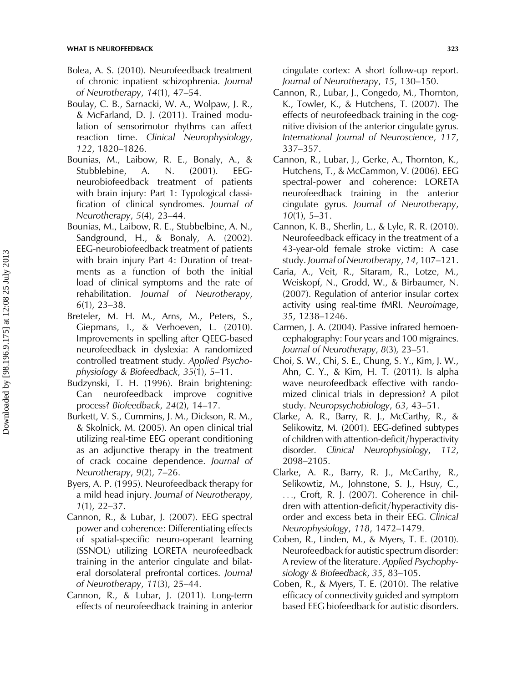- Bolea, A. S. (2010). Neurofeedback treatment of chronic inpatient schizophrenia. Journal of Neurotherapy, 14(1), 47–54.
- Boulay, C. B., Sarnacki, W. A., Wolpaw, J. R., & McFarland, D. J. (2011). Trained modulation of sensorimotor rhythms can affect reaction time. Clinical Neurophysiology, 122, 1820–1826.
- Bounias, M., Laibow, R. E., Bonaly, A., & Stubblebine, A. N. (2001). EEGneurobiofeedback treatment of patients with brain injury: Part 1: Typological classification of clinical syndromes. Journal of Neurotherapy, 5(4), 23–44.
- Bounias, M., Laibow, R. E., Stubbelbine, A. N., Sandground, H., & Bonaly, A. (2002). EEG-neurobiofeedback treatment of patients with brain injury Part 4: Duration of treatments as a function of both the initial load of clinical symptoms and the rate of rehabilitation. Journal of Neurotherapy, 6(1), 23–38.
- Breteler, M. H. M., Arns, M., Peters, S., Giepmans, I., & Verhoeven, L. (2010). Improvements in spelling after QEEG-based neurofeedback in dyslexia: A randomized controlled treatment study. Applied Psychophysiology & Biofeedback, 35(1), 5–11.
- Budzynski, T. H. (1996). Brain brightening: Can neurofeedback improve cognitive process? Biofeedback, 24(2), 14–17.
- Burkett, V. S., Cummins, J. M., Dickson, R. M., & Skolnick, M. (2005). An open clinical trial utilizing real-time EEG operant conditioning as an adjunctive therapy in the treatment of crack cocaine dependence. Journal of Neurotherapy, 9(2), 7–26.
- Byers, A. P. (1995). Neurofeedback therapy for a mild head injury. Journal of Neurotherapy, 1(1), 22–37.
- Cannon, R., & Lubar, J. (2007). EEG spectral power and coherence: Differentiating effects of spatial-specific neuro-operant learning (SSNOL) utilizing LORETA neurofeedback training in the anterior cingulate and bilateral dorsolateral prefrontal cortices. Journal of Neurotherapy, 11(3), 25–44.
- Cannon, R., & Lubar, J. (2011). Long-term effects of neurofeedback training in anterior

cingulate cortex: A short follow-up report. Journal of Neurotherapy, 15, 130–150.

- Cannon, R., Lubar, J., Congedo, M., Thornton, K., Towler, K., & Hutchens, T. (2007). The effects of neurofeedback training in the cognitive division of the anterior cingulate gyrus. International Journal of Neuroscience, 117, 337–357.
- Cannon, R., Lubar, J., Gerke, A., Thornton, K., Hutchens, T., & McCammon, V. (2006). EEG spectral-power and coherence: LORETA neurofeedback training in the anterior cingulate gyrus. Journal of Neurotherapy, 10(1), 5–31.
- Cannon, K. B., Sherlin, L., & Lyle, R. R. (2010). Neurofeedback efficacy in the treatment of a 43-year-old female stroke victim: A case study. Journal of Neurotherapy, 14, 107–121.
- Caria, A., Veit, R., Sitaram, R., Lotze, M., Weiskopf, N., Grodd, W., & Birbaumer, N. (2007). Regulation of anterior insular cortex activity using real-time fMRI. Neuroimage, 35, 1238–1246.
- Carmen, J. A. (2004). Passive infrared hemoencephalography: Four years and 100 migraines. Journal of Neurotherapy, 8(3), 23–51.
- Choi, S. W., Chi, S. E., Chung, S. Y., Kim, J. W., Ahn, C. Y., & Kim, H. T. (2011). Is alpha wave neurofeedback effective with randomized clinical trials in depression? A pilot study. Neuropsychobiology, 63, 43–51.
- Clarke, A. R., Barry, R. J., McCarthy, R., & Selikowitz, M. (2001). EEG-defined subtypes of children with attention-deficit/hyperactivity disorder. Clinical Neurophysiology, 112, 2098–2105.
- Clarke, A. R., Barry, R. J., McCarthy, R., Selikowtiz, M., Johnstone, S. J., Hsuy, C., ..., Croft, R. J. (2007). Coherence in children with attention-deficit/hyperactivity disorder and excess beta in their EEG. Clinical Neurophysiology, 118, 1472–1479.
- Coben, R., Linden, M., & Myers, T. E. (2010). Neurofeedback for autistic spectrum disorder: A review of the literature. Applied Psychophysiology & Biofeedback, 35, 83–105.
- Coben, R., & Myers, T. E. (2010). The relative efficacy of connectivity guided and symptom based EEG biofeedback for autistic disorders.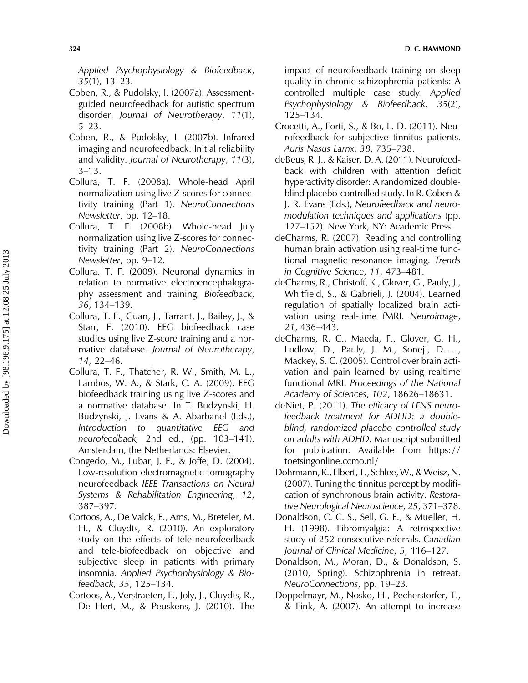Applied Psychophysiology & Biofeedback, 35(1), 13–23.

- Coben, R., & Pudolsky, I. (2007a). Assessmentguided neurofeedback for autistic spectrum disorder. Journal of Neurotherapy, 11(1), 5–23.
- Coben, R., & Pudolsky, I. (2007b). Infrared imaging and neurofeedback: Initial reliability and validity. Journal of Neurotherapy, 11(3), 3–13.
- Collura, T. F. (2008a). Whole-head April normalization using live Z-scores for connectivity training (Part 1). NeuroConnections Newsletter, pp. 12–18.
- Collura, T. F. (2008b). Whole-head July normalization using live Z-scores for connectivity training (Part 2). NeuroConnections Newsletter, pp. 9–12.
- Collura, T. F. (2009). Neuronal dynamics in relation to normative electroencephalography assessment and training. Biofeedback, 36, 134–139.
- Collura, T. F., Guan, J., Tarrant, J., Bailey, J., & Starr, F. (2010). EEG biofeedback case studies using live Z-score training and a normative database. Journal of Neurotherapy, 14, 22–46.
- Collura, T. F., Thatcher, R. W., Smith, M. L., Lambos, W. A., & Stark, C. A. (2009). EEG biofeedback training using live Z-scores and a normative database. In T. Budzynski, H. Budzynski, J. Evans & A. Abarbanel (Eds.), Introduction to quantitative EEG and neurofeedback, 2nd ed., (pp. 103–141). Amsterdam, the Netherlands: Elsevier.
- Congedo, M., Lubar, J. F., & Joffe, D. (2004). Low-resolution electromagnetic tomography neurofeedback IEEE Transactions on Neural Systems & Rehabilitation Engineering, 12, 387–397.
- Cortoos, A., De Valck, E., Arns, M., Breteler, M. H., & Cluydts, R. (2010). An exploratory study on the effects of tele-neurofeedback and tele-biofeedback on objective and subjective sleep in patients with primary insomnia. Applied Psychophysiology & Biofeedback, 35, 125–134.
- Cortoos, A., Verstraeten, E., Joly, J., Cluydts, R., De Hert, M., & Peuskens, J. (2010). The

impact of neurofeedback training on sleep quality in chronic schizophrenia patients: A controlled multiple case study. Applied Psychophysiology & Biofeedback, 35(2), 125–134.

- Crocetti, A., Forti, S., & Bo, L. D. (2011). Neurofeedback for subjective tinnitus patients. Auris Nasus Larnx, 38, 735–738.
- deBeus, R. J., & Kaiser, D. A. (2011). Neurofeedback with children with attention deficit hyperactivity disorder: A randomized doubleblind placebo-controlled study. In R. Coben & J. R. Evans (Eds.), Neurofeedback and neuromodulation techniques and applications (pp. 127–152). New York, NY: Academic Press.
- deCharms, R. (2007). Reading and controlling human brain activation using real-time functional magnetic resonance imaging. Trends in Cognitive Science, 11, 473–481.
- deCharms, R., Christoff, K., Glover, G., Pauly, J., Whitfield, S., & Gabrieli, J. (2004). Learned regulation of spatially localized brain activation using real-time fMRI. Neuroimage, 21, 436–443.
- deCharms, R. C., Maeda, F., Glover, G. H., Ludlow, D., Pauly, J. M., Soneji, D...., Mackey, S. C. (2005). Control over brain activation and pain learned by using realtime functional MRI. Proceedings of the National Academy of Sciences, 102, 18626–18631.
- deNiet, P. (2011). The efficacy of LENS neurofeedback treatment for ADHD: a doubleblind, randomized placebo controlled study on adults with ADHD. Manuscript submitted for publication. Available from  $h$ ttps:// toetsingonline.ccmo.nl=
- Dohrmann, K., Elbert, T., Schlee, W., & Weisz, N. (2007). Tuning the tinnitus percept by modification of synchronous brain activity. Restorative Neurological Neuroscience, 25, 371–378.
- Donaldson, C. C. S., Sell, G. E., & Mueller, H. H. (1998). Fibromyalgia: A retrospective study of 252 consecutive referrals. Canadian Journal of Clinical Medicine, 5, 116–127.
- Donaldson, M., Moran, D., & Donaldson, S. (2010, Spring). Schizophrenia in retreat. NeuroConnections, pp. 19–23.
- Doppelmayr, M., Nosko, H., Pecherstorfer, T., & Fink, A. (2007). An attempt to increase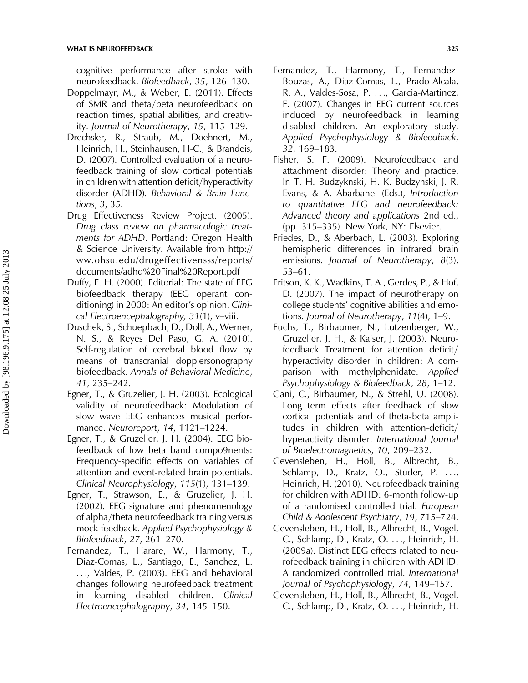cognitive performance after stroke with neurofeedback. Biofeedback, 35, 126–130.

- Doppelmayr, M., & Weber, E. (2011). Effects of SMR and theta/beta neurofeedback on reaction times, spatial abilities, and creativity. Journal of Neurotherapy, 15, 115–129.
- Drechsler, R., Straub, M., Doehnert, M., Heinrich, H., Steinhausen, H-C., & Brandeis, D. (2007). Controlled evaluation of a neurofeedback training of slow cortical potentials in children with attention deficit/hyperactivity disorder (ADHD). Behavioral & Brain Functions, 3, 35.
- Drug Effectiveness Review Project. (2005). Drug class review on pharmacologic treatments for ADHD. Portland: Oregon Health & Science University. Available from http:// ww.ohsu.edu/drugeffectivensss/reports/ documents/adhd%20Final%20Report.pdf
- Duffy, F. H. (2000). Editorial: The state of EEG biofeedback therapy (EEG operant conditioning) in 2000: An editor's opinion. Clinical Electroencephalography, 31(1), v–viii.
- Duschek, S., Schuepbach, D., Doll, A., Werner, N. S., & Reyes Del Paso, G. A. (2010). Self-regulation of cerebral blood flow by means of transcranial dopplersonography biofeedback. Annals of Behavioral Medicine, 41, 235–242.
- Egner, T., & Gruzelier, J. H. (2003). Ecological validity of neurofeedback: Modulation of slow wave EEG enhances musical performance. Neuroreport, 14, 1121–1224.
- Egner, T., & Gruzelier, J. H. (2004). EEG biofeedback of low beta band compo9nents: Frequency-specific effects on variables of attention and event-related brain potentials. Clinical Neurophysiology, 115(1), 131–139.
- Egner, T., Strawson, E., & Gruzelier, J. H. (2002). EEG signature and phenomenology of alpha/theta neurofeedback training versus mock feedback. Applied Psychophysiology & Biofeedback, 27, 261–270.
- Fernandez, T., Harare, W., Harmony, T., Diaz-Comas, L., Santiago, E., Sanchez, L. ..., Valdes, P. (2003). EEG and behavioral changes following neurofeedback treatment in learning disabled children. Clinical Electroencephalography, 34, 145–150.
- Fernandez, T., Harmony, T., Fernandez-Bouzas, A., Diaz-Comas, L., Prado-Alcala, R. A., Valdes-Sosa, P. ..., Garcia-Martinez, F. (2007). Changes in EEG current sources induced by neurofeedback in learning disabled children. An exploratory study. Applied Psychophysiology & Biofeedback, 32, 169–183.
- Fisher, S. F. (2009). Neurofeedback and attachment disorder: Theory and practice. In T. H. Budzyknski, H. K. Budzynski, J. R. Evans, & A. Abarbanel (Eds.), Introduction to quantitative EEG and neurofeedback: Advanced theory and applications 2nd ed., (pp. 315–335). New York, NY: Elsevier.
- Friedes, D., & Aberbach, L. (2003). Exploring hemispheric differences in infrared brain emissions. Journal of Neurotherapy, 8(3), 53–61.
- Fritson, K. K., Wadkins, T. A., Gerdes, P., & Hof, D. (2007). The impact of neurotherapy on college students' cognitive abilities and emotions. Journal of Neurotherapy, 11(4), 1–9.
- Fuchs, T., Birbaumer, N., Lutzenberger, W., Gruzelier, J. H., & Kaiser, J. (2003). Neuro $feedback$  Treatment for attention deficit/ hyperactivity disorder in children: A comparison with methylphenidate. Applied Psychophysiology & Biofeedback, 28, 1–12.
- Gani, C., Birbaumer, N., & Strehl, U. (2008). Long term effects after feedback of slow cortical potentials and of theta-beta amplitudes in children with attention-deficit/ hyperactivity disorder. International Journal of Bioelectromagnetics, 10, 209–232.
- Gevensleben, H., Holl, B., Albrecht, B., Schlamp, D., Kratz, O., Studer, P. ..., Heinrich, H. (2010). Neurofeedback training for children with ADHD: 6-month follow-up of a randomised controlled trial. European Child & Adolescent Psychiatry, 19, 715–724.
- Gevensleben, H., Holl, B., Albrecht, B., Vogel, C., Schlamp, D., Kratz, O. ..., Heinrich, H. (2009a). Distinct EEG effects related to neurofeedback training in children with ADHD: A randomized controlled trial. International Journal of Psychophysiology, 74, 149–157.
- Gevensleben, H., Holl, B., Albrecht, B., Vogel, C., Schlamp, D., Kratz, O. ..., Heinrich, H.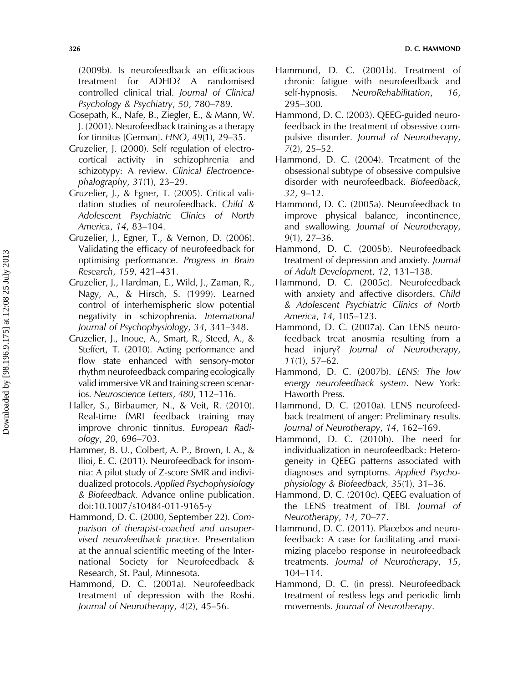(2009b). Is neurofeedback an efficacious treatment for ADHD? A randomised controlled clinical trial. Journal of Clinical Psychology & Psychiatry, 50, 780–789.

- Gosepath, K., Nafe, B., Ziegler, E., & Mann, W. J. (2001). Neurofeedback training as a therapy for tinnitus [German]. HNO, 49(1), 29–35.
- Gruzelier, J. (2000). Self regulation of electrocortical activity in schizophrenia and schizotypy: A review. Clinical Electroencephalography, 31(1), 23–29.
- Gruzelier, J., & Egner, T. (2005). Critical validation studies of neurofeedback. Child & Adolescent Psychiatric Clinics of North America, 14, 83–104.
- Gruzelier, J., Egner, T., & Vernon, D. (2006). Validating the efficacy of neurofeedback for optimising performance. Progress in Brain Research, 159, 421–431.
- Gruzelier, J., Hardman, E., Wild, J., Zaman, R., Nagy, A., & Hirsch, S. (1999). Learned control of interhemispheric slow potential negativity in schizophrenia. International Journal of Psychophysiology, 34, 341–348.
- Gruzelier, J., Inoue, A., Smart, R., Steed, A., & Steffert, T. (2010). Acting performance and flow state enhanced with sensory-motor rhythm neurofeedback comparing ecologically valid immersive VR and training screen scenarios. Neuroscience Letters, 480, 112–116.
- Haller, S., Birbaumer, N., & Veit, R. (2010). Real-time fMRI feedback training may improve chronic tinnitus. European Radiology, 20, 696–703.
- Hammer, B. U., Colbert, A. P., Brown, I. A., & Ilioi, E. C. (2011). Neurofeedback for insomnia: A pilot study of Z-score SMR and individualized protocols. Applied Psychophysiology & Biofeedback. Advance online publication. doi:10.1007/s10484-011-9165-y
- Hammond, D. C. (2000, September 22). Comparison of therapist-coached and unsupervised neurofeedback practice. Presentation at the annual scientific meeting of the International Society for Neurofeedback & Research, St. Paul, Minnesota.
- Hammond, D. C. (2001a). Neurofeedback treatment of depression with the Roshi. Journal of Neurotherapy, 4(2), 45–56.
- Hammond, D. C. (2001b). Treatment of chronic fatigue with neurofeedback and self-hypnosis. NeuroRehabilitation, 16, 295–300.
- Hammond, D. C. (2003). QEEG-guided neurofeedback in the treatment of obsessive compulsive disorder. Journal of Neurotherapy, 7(2), 25–52.
- Hammond, D. C. (2004). Treatment of the obsessional subtype of obsessive compulsive disorder with neurofeedback. Biofeedback, 32, 9–12.
- Hammond, D. C. (2005a). Neurofeedback to improve physical balance, incontinence, and swallowing. Journal of Neurotherapy, 9(1), 27–36.
- Hammond, D. C. (2005b). Neurofeedback treatment of depression and anxiety. Journal of Adult Development, 12, 131–138.
- Hammond, D. C. (2005c). Neurofeedback with anxiety and affective disorders. Child & Adolescent Psychiatric Clinics of North America, 14, 105–123.
- Hammond, D. C. (2007a). Can LENS neurofeedback treat anosmia resulting from a head injury? Journal of Neurotherapy, 11(1), 57–62.
- Hammond, D. C. (2007b). LENS: The low energy neurofeedback system. New York: Haworth Press.
- Hammond, D. C. (2010a). LENS neurofeedback treatment of anger: Preliminary results. Journal of Neurotherapy, 14, 162–169.
- Hammond, D. C. (2010b). The need for individualization in neurofeedback: Heterogeneity in QEEG patterns associated with diagnoses and symptoms. Applied Psychophysiology & Biofeedback, 35(1), 31–36.
- Hammond, D. C. (2010c). QEEG evaluation of the LENS treatment of TBI. Journal of Neurotherapy, 14, 70–77.
- Hammond, D. C. (2011). Placebos and neurofeedback: A case for facilitating and maximizing placebo response in neurofeedback treatments. Journal of Neurotherapy, 15, 104–114.
- Hammond, D. C. (in press). Neurofeedback treatment of restless legs and periodic limb movements. Journal of Neurotherapy.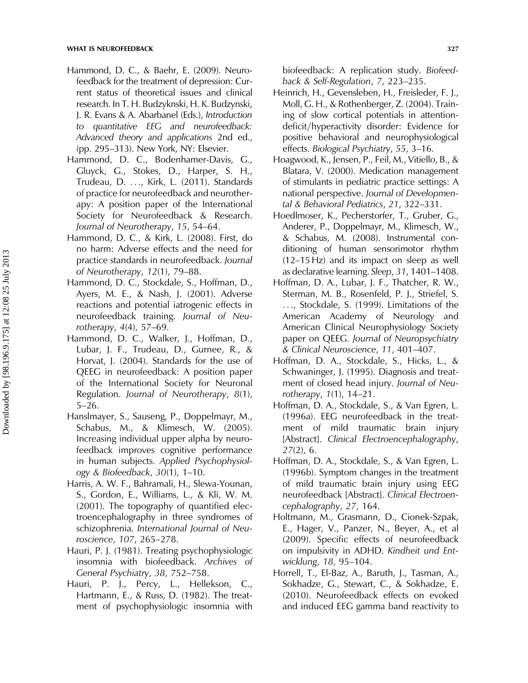- Hammond, D. C., & Baehr, E. (2009). Neurofeedback for the treatment of depression: Current status of theoretical issues and clinical research. In T. H. Budzyknski, H. K. Budzynski, J. R. Evans & A. Abarbanel (Eds.), Introduction to quantitative EEG and neurofeedback: Advanced theory and applications 2nd ed., (pp. 295–313). New York, NY: Elsevier.
- Hammond, D. C., Bodenhamer-Davis, G., Gluyck, G., Stokes, D., Harper, S. H., Trudeau, D. ..., Kirk, L. (2011). Standards of practice for neurofeedback and neurotherapy: A position paper of the International Society for Neurofeedback & Research. Journal of Neurotherapy, 15, 54–64.
- Hammond, D. C., & Kirk, L. (2008). First, do no harm: Adverse effects and the need for practice standards in neurofeedback. Journal of Neurotherapy, 12(1), 79–88.
- Hammond, D. C., Stockdale, S., Hoffman, D., Ayers, M. E., & Nash, J. (2001). Adverse reactions and potential iatrogenic effects in neurofeedback training. Journal of Neurotherapy, 4(4), 57–69.
- Hammond, D. C., Walker, J., Hoffman, D., Lubar, J. F., Trudeau, D., Gurnee, R., & Horvat, J. (2004). Standards for the use of QEEG in neurofeedback: A position paper of the International Society for Neuronal Regulation. Journal of Neurotherapy, 8(1), 5–26.
- Hanslmayer, S., Sauseng, P., Doppelmayr, M., Schabus, M., & Klimesch, W. (2005). Increasing individual upper alpha by neurofeedback improves cognitive performance in human subjects. Applied Psychophysiology & Biofeedback, 30(1), 1–10.
- Harris, A. W. F., Bahramali, H., Slewa-Younan, S., Gordon, E., Williams, L., & Kli, W. M. (2001). The topography of quantified electroencephalography in three syndromes of schizophrenia. International Journal of Neuroscience, 107, 265–278.
- Hauri, P. J. (1981). Treating psychophysiologic insomnia with biofeedback. Archives of General Psychiatry, 38, 752–758.
- Hauri, P. J., Percy, L., Hellekson, C., Hartmann, E., & Russ, D. (1982). The treatment of psychophysiologic insomnia with

biofeedback: A replication study. Biofeedback & Self-Regulation, 7, 223–235.

- Heinrich, H., Gevensleben, H., Freisleder, F. J., Moll, G. H., & Rothenberger, Z. (2004). Training of slow cortical potentials in attentiondeficit/hyperactivity disorder: Evidence for positive behavioral and neurophysiological effects. Biological Psychiatry, 55, 3–16.
- Hoagwood, K., Jensen, P., Feil, M., Vitiello, B., & Blatara, V. (2000). Medication management of stimulants in pediatric practice settings: A national perspective. Journal of Developmental & Behavioral Pediatrics, 21, 322–331.
- Hoedlmoser, K., Pecherstorfer, T., Gruber, G., Anderer, P., Doppelmayr, M., Klimesch, W., & Schabus, M. (2008). Instrumental conditioning of human sensorimotor rhythm (12–15 Hz) and its impact on sleep as well as declarative learning. Sleep, 31, 1401–1408.
- Hoffman, D. A., Lubar, J. F., Thatcher, R. W., Sterman, M. B., Rosenfeld, P. J., Striefel, S. ..., Stockdale, S. (1999). Limitations of the American Academy of Neurology and American Clinical Neurophysiology Society paper on QEEG. Journal of Neuropsychiatry & Clinical Neuroscience, 11, 401–407.
- Hoffman, D. A., Stockdale, S., Hicks, L., & Schwaninger, J. (1995). Diagnosis and treatment of closed head injury. Journal of Neurotherapy, 1(1), 14–21.
- Hoffman, D. A., Stockdale, S., & Van Egren, L. (1996a). EEG neurofeedback in the treatment of mild traumatic brain injury [Abstract]. Clinical Electroencephalography, 27(2), 6.
- Hoffman, D. A., Stockdale, S., & Van Egren, L. (1996b). Symptom changes in the treatment of mild traumatic brain injury using EEG neurofeedback [Abstract]. Clinical Electroencephalography, 27, 164.
- Holtmann, M., Grasmann, D., Cionek-Szpak, E., Hager, V., Panzer, N., Beyer, A., et al (2009). Specific effects of neurofeedback on impulsivity in ADHD. Kindheit und Entwicklung, 18, 95–104.
- Horrell, T., El-Baz, A., Baruth, J., Tasman, A., Sokhadze, G., Stewart, C., & Sokhadze, E. (2010). Neurofeedback effects on evoked and induced EEG gamma band reactivity to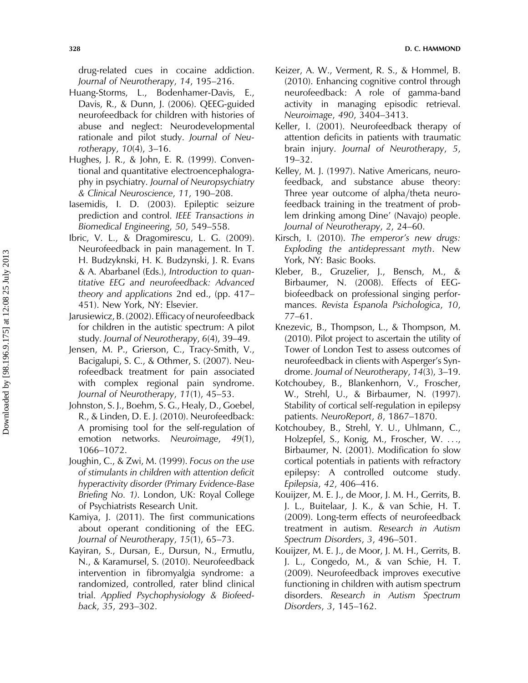drug-related cues in cocaine addiction. Journal of Neurotherapy, 14, 195–216.

- Huang-Storms, L., Bodenhamer-Davis, E., Davis, R., & Dunn, J. (2006). QEEG-guided neurofeedback for children with histories of abuse and neglect: Neurodevelopmental rationale and pilot study. Journal of Neurotherapy, 10(4), 3–16.
- Hughes, J. R., & John, E. R. (1999). Conventional and quantitative electroencephalography in psychiatry. Journal of Neuropsychiatry & Clinical Neuroscience, 11, 190–208.
- Iasemidis, I. D. (2003). Epileptic seizure prediction and control. IEEE Transactions in Biomedical Engineering, 50, 549–558.
- Ibric, V. L., & Dragomirescu, L. G. (2009). Neurofeedback in pain management. In T. H. Budzyknski, H. K. Budzynski, J. R. Evans & A. Abarbanel (Eds.), Introduction to quantitative EEG and neurofeedback: Advanced theory and applications 2nd ed., (pp. 417– 451). New York, NY: Elsevier.
- Jarusiewicz, B. (2002). Efficacy of neurofeedback for children in the autistic spectrum: A pilot study. Journal of Neurotherapy, 6(4), 39–49.
- Jensen, M. P., Grierson, C., Tracy-Smith, V., Bacigalupi, S. C., & Othmer, S. (2007). Neurofeedback treatment for pain associated with complex regional pain syndrome. Journal of Neurotherapy, 11(1), 45–53.
- Johnston, S. J., Boehm, S. G., Healy, D., Goebel, R., & Linden, D. E. J. (2010). Neurofeedback: A promising tool for the self-regulation of emotion networks. Neuroimage, 49(1), 1066–1072.
- Joughin, C., & Zwi, M. (1999). Focus on the use of stimulants in children with attention deficit hyperactivity disorder (Primary Evidence-Base Briefing No. 1). London, UK: Royal College of Psychiatrists Research Unit.
- Kamiya, J. (2011). The first communications about operant conditioning of the EEG. Journal of Neurotherapy, 15(1), 65–73.
- Kayiran, S., Dursan, E., Dursun, N., Ermutlu, N., & Karamursel, S. (2010). Neurofeedback intervention in fibromyalgia syndrome: a randomized, controlled, rater blind clinical trial. Applied Psychophysiology & Biofeedback, 35, 293–302.
- Keizer, A. W., Verment, R. S., & Hommel, B. (2010). Enhancing cognitive control through neurofeedback: A role of gamma-band activity in managing episodic retrieval. Neuroimage, 490, 3404–3413.
- Keller, I. (2001). Neurofeedback therapy of attention deficits in patients with traumatic brain injury. Journal of Neurotherapy, 5, 19–32.
- Kelley, M. J. (1997). Native Americans, neurofeedback, and substance abuse theory: Three year outcome of alpha/theta neurofeedback training in the treatment of problem drinking among Dine' (Navajo) people. Journal of Neurotherapy, 2, 24–60.
- Kirsch, I. (2010). The emperor's new drugs: Exploding the antidepressant myth. New York, NY: Basic Books.
- Kleber, B., Gruzelier, J., Bensch, M., & Birbaumer, N. (2008). Effects of EEGbiofeedback on professional singing performances. Revista Espanola Psichologica, 10, 77–61.
- Knezevic, B., Thompson, L., & Thompson, M. (2010). Pilot project to ascertain the utility of Tower of London Test to assess outcomes of neurofeedback in clients with Asperger's Syndrome. Journal of Neurotherapy, 14(3), 3–19.
- Kotchoubey, B., Blankenhorn, V., Froscher, W., Strehl, U., & Birbaumer, N. (1997). Stability of cortical self-regulation in epilepsy patients. NeuroReport, 8, 1867–1870.
- Kotchoubey, B., Strehl, Y. U., Uhlmann, C., Holzepfel, S., Konig, M., Froscher, W. ..., Birbaumer, N. (2001). Modification fo slow cortical potentials in patients with refractory epilepsy: A controlled outcome study. Epilepsia, 42, 406–416.
- Kouijzer, M. E. J., de Moor, J. M. H., Gerrits, B. J. L., Buitelaar, J. K., & van Schie, H. T. (2009). Long-term effects of neurofeedback treatment in autism. Research in Autism Spectrum Disorders, 3, 496–501.
- Kouijzer, M. E. J., de Moor, J. M. H., Gerrits, B. J. L., Congedo, M., & van Schie, H. T. (2009). Neurofeedback improves executive functioning in children with autism spectrum disorders. Research in Autism Spectrum Disorders, 3, 145–162.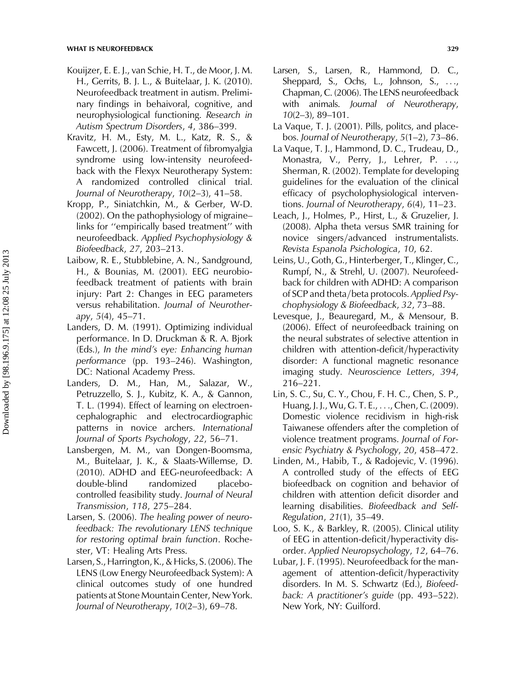- Kouijzer, E. E. J., van Schie, H. T., de Moor, J. M. H., Gerrits, B. J. L., & Buitelaar, J. K. (2010). Neurofeedback treatment in autism. Preliminary findings in behaivoral, cognitive, and neurophysiological functioning. Research in Autism Spectrum Disorders, 4, 386–399.
- Kravitz, H. M., Esty, M. L., Katz, R. S., & Fawcett, J. (2006). Treatment of fibromyalgia syndrome using low-intensity neurofeedback with the Flexyx Neurotherapy System: A randomized controlled clinical trial. Journal of Neurotherapy, 10(2–3), 41–58.
- Kropp, P., Siniatchkin, M., & Gerber, W-D. (2002). On the pathophysiology of migraine– links for ''empirically based treatment'' with neurofeedback. Applied Psychophysiology & Biofeedback, 27, 203–213.
- Laibow, R. E., Stubblebine, A. N., Sandground, H., & Bounias, M. (2001). EEG neurobiofeedback treatment of patients with brain injury: Part 2: Changes in EEG parameters versus rehabilitation. Journal of Neurotherapy, 5(4), 45–71.
- Landers, D. M. (1991). Optimizing individual performance. In D. Druckman & R. A. Bjork (Eds.), In the mind's eye: Enhancing human performance (pp. 193–246). Washington, DC: National Academy Press.
- Landers, D. M., Han, M., Salazar, W., Petruzzello, S. J., Kubitz, K. A., & Gannon, T. L. (1994). Effect of learning on electroencephalographic and electrocardiographic patterns in novice archers. International Journal of Sports Psychology, 22, 56–71.
- Lansbergen, M. M., van Dongen-Boomsma, M., Buitelaar, J. K., & Slaats-Willemse, D. (2010). ADHD and EEG-neurofeedback: A double-blind randomized placebocontrolled feasibility study. Journal of Neural Transmission, 118, 275–284.
- Larsen, S. (2006). The healing power of neurofeedback: The revolutionary LENS technique for restoring optimal brain function. Rochester, VT: Healing Arts Press.
- Larsen, S., Harrington, K., & Hicks, S. (2006). The LENS (Low Energy Neurofeedback System): A clinical outcomes study of one hundred patients at Stone Mountain Center, New York. Journal of Neurotherapy, 10(2–3), 69–78.
- Larsen, S., Larsen, R., Hammond, D. C., Sheppard, S., Ochs, L., Johnson, S., ..., Chapman, C. (2006). The LENS neurofeedback with animals. Journal of Neurotherapy, 10(2–3), 89–101.
- La Vaque, T. J. (2001). Pills, politcs, and placebos. Journal of Neurotherapy, 5(1–2), 73–86.
- La Vaque, T. J., Hammond, D. C., Trudeau, D., Monastra, V., Perry, J., Lehrer, P. ..., Sherman, R. (2002). Template for developing guidelines for the evaluation of the clinical efficacy of psycholophysiological interventions. Journal of Neurotherapy, 6(4), 11–23.
- Leach, J., Holmes, P., Hirst, L., & Gruzelier, J. (2008). Alpha theta versus SMR training for novice singers/advanced instrumentalists. Revista Espanola Psichologica, 10, 62.
- Leins, U., Goth, G., Hinterberger, T., Klinger, C., Rumpf, N., & Strehl, U. (2007). Neurofeedback for children with ADHD: A comparison of SCP and theta/beta protocols. Applied Psychophysiology & Biofeedback, 32, 73–88.
- Levesque, J., Beauregard, M., & Mensour, B. (2006). Effect of neurofeedback training on the neural substrates of selective attention in children with attention-deficit/hyperactivity disorder: A functional magnetic resonance imaging study. Neuroscience Letters, 394, 216–221.
- Lin, S. C., Su, C. Y., Chou, F. H. C., Chen, S. P., Huang, J. J., Wu, G. T. E., ..., Chen, C. (2009). Domestic violence recidivism in high-risk Taiwanese offenders after the completion of violence treatment programs. Journal of Forensic Psychiatry & Psychology, 20, 458–472.
- Linden, M., Habib, T., & Radojevic, V. (1996). A controlled study of the effects of EEG biofeedback on cognition and behavior of children with attention deficit disorder and learning disabilities. Biofeedback and Self-Regulation, 21(1), 35–49.
- Loo, S. K., & Barkley, R. (2005). Clinical utility of EEG in attention-deficit/hyperactivity disorder. Applied Neuropsychology, 12, 64–76.
- Lubar, J. F. (1995). Neurofeedback for the management of attention-deficit/hyperactivity disorders. In M. S. Schwartz (Ed.), Biofeedback: A practitioner's guide (pp. 493–522). New York, NY: Guilford.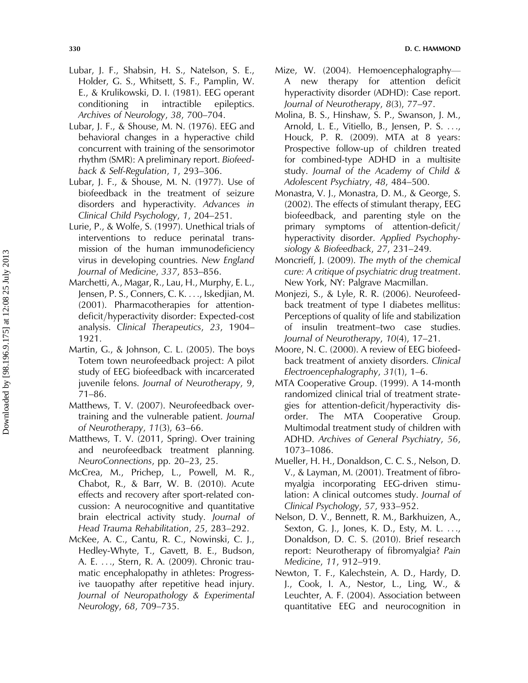- Lubar, J. F., Shabsin, H. S., Natelson, S. E., Holder, G. S., Whitsett, S. F., Pamplin, W. E., & Krulikowski, D. I. (1981). EEG operant conditioning in intractible epileptics. Archives of Neurology, 38, 700–704.
- Lubar, J. F., & Shouse, M. N. (1976). EEG and behavioral changes in a hyperactive child concurrent with training of the sensorimotor rhythm (SMR): A preliminary report. Biofeedback & Self-Regulation, 1, 293–306.
- Lubar, J. F., & Shouse, M. N. (1977). Use of biofeedback in the treatment of seizure disorders and hyperactivity. Advances in Clinical Child Psychology, 1, 204–251.
- Lurie, P., & Wolfe, S. (1997). Unethical trials of interventions to reduce perinatal transmission of the human immunodeficiency virus in developing countries. New England Journal of Medicine, 337, 853–856.
- Marchetti, A., Magar, R., Lau, H., Murphy, E. L., Jensen, P. S., Conners, C. K. ..., Iskedjian, M. (2001). Pharmacotherapies for attentiondeficit/hyperactivity disorder: Expected-cost analysis. Clinical Therapeutics, 23, 1904– 1921.
- Martin, G., & Johnson, C. L. (2005). The boys Totem town neurofeedback project: A pilot study of EEG biofeedback with incarcerated juvenile felons. Journal of Neurotherapy, 9, 71–86.
- Matthews, T. V. (2007). Neurofeedback overtraining and the vulnerable patient. Journal of Neurotherapy, 11(3), 63–66.
- Matthews, T. V. (2011, Spring). Over training and neurofeedback treatment planning. NeuroConnections, pp. 20–23, 25.
- McCrea, M., Prichep, L., Powell, M. R., Chabot, R., & Barr, W. B. (2010). Acute effects and recovery after sport-related concussion: A neurocognitive and quantitative brain electrical activity study. Journal of Head Trauma Rehabilitation, 25, 283–292.
- McKee, A. C., Cantu, R. C., Nowinski, C. J., Hedley-Whyte, T., Gavett, B. E., Budson, A. E. ..., Stern, R. A. (2009). Chronic traumatic encephalopathy in athletes: Progressive tauopathy after repetitive head injury. Journal of Neuropathology & Experimental Neurology, 68, 709–735.
- Mize, W. (2004). Hemoencephalography— A new therapy for attention deficit hyperactivity disorder (ADHD): Case report. Journal of Neurotherapy, 8(3), 77–97.
- Molina, B. S., Hinshaw, S. P., Swanson, J. M., Arnold, L. E., Vitiello, B., Jensen, P. S. ..., Houck, P. R. (2009). MTA at 8 years: Prospective follow-up of children treated for combined-type ADHD in a multisite study. Journal of the Academy of Child & Adolescent Psychiatry, 48, 484–500.
- Monastra, V. J., Monastra, D. M., & George, S. (2002). The effects of stimulant therapy, EEG biofeedback, and parenting style on the primary symptoms of attention-deficit/ hyperactivity disorder. Applied Psychophysiology & Biofeedback, 27, 231–249.
- Moncrieff, J. (2009). The myth of the chemical cure: A critique of psychiatric drug treatment. New York, NY: Palgrave Macmillan.
- Monjezi, S., & Lyle, R. R. (2006). Neurofeedback treatment of type I diabetes mellitus: Perceptions of quality of life and stabilization of insulin treatment–two case studies. Journal of Neurotherapy, 10(4), 17–21.
- Moore, N. C. (2000). A review of EEG biofeedback treatment of anxiety disorders. Clinical Electroencephalography, 31(1), 1–6.
- MTA Cooperative Group. (1999). A 14-month randomized clinical trial of treatment strategies for attention-deficit/hyperactivity disorder. The MTA Cooperative Group. Multimodal treatment study of children with ADHD. Archives of General Psychiatry, 56, 1073–1086.
- Mueller, H. H., Donaldson, C. C. S., Nelson, D. V., & Layman, M. (2001). Treatment of fibromyalgia incorporating EEG-driven stimulation: A clinical outcomes study. Journal of Clinical Psychology, 57, 933–952.
- Nelson, D. V., Bennett, R. M., Barkhuizen, A., Sexton, G. J., Jones, K. D., Esty, M. L. ..., Donaldson, D. C. S. (2010). Brief research report: Neurotherapy of fibromyalgia? Pain Medicine, 11, 912–919.
- Newton, T. F., Kalechstein, A. D., Hardy, D. J., Cook, I. A., Nestor, L., Ling, W., & Leuchter, A. F. (2004). Association between quantitative EEG and neurocognition in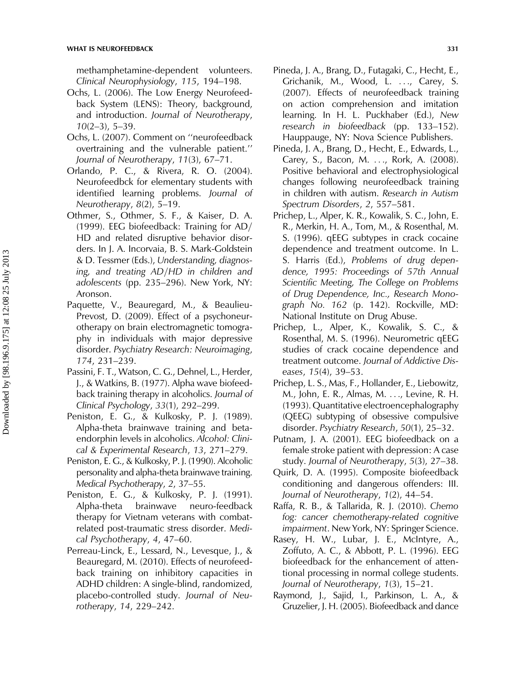methamphetamine-dependent volunteers. Clinical Neurophysiology, 115, 194–198.

- Ochs, L. (2006). The Low Energy Neurofeedback System (LENS): Theory, background, and introduction. Journal of Neurotherapy, 10(2–3), 5–39.
- Ochs, L. (2007). Comment on ''neurofeedback overtraining and the vulnerable patient.'' Journal of Neurotherapy, 11(3), 67–71.
- Orlando, P. C., & Rivera, R. O. (2004). Neurofeedbck for elementary students with identified learning problems. Journal of Neurotherapy, 8(2), 5–19.
- Othmer, S., Othmer, S. F., & Kaiser, D. A. (1999). EEG biofeedback: Training for  $AD/$ HD and related disruptive behavior disorders. In J. A. Incorvaia, B. S. Mark-Goldstein & D. Tessmer (Eds.), Understanding, diagnosing, and treating  $AD/HD$  in children and adolescents (pp. 235–296). New York, NY: Aronson.
- Paquette, V., Beauregard, M., & Beaulieu-Prevost, D. (2009). Effect of a psychoneurotherapy on brain electromagnetic tomography in individuals with major depressive disorder. Psychiatry Research: Neuroimaging, 174, 231–239.
- Passini, F. T., Watson, C. G., Dehnel, L., Herder, J., & Watkins, B. (1977). Alpha wave biofeedback training therapy in alcoholics. Journal of Clinical Psychology, 33(1), 292–299.
- Peniston, E. G., & Kulkosky, P. J. (1989). Alpha-theta brainwave training and betaendorphin levels in alcoholics. Alcohol: Clinical & Experimental Research, 13, 271–279.
- Peniston, E. G., & Kulkosky, P. J. (1990). Alcoholic personality and alpha-theta brainwave training. Medical Psychotherapy, 2, 37–55.
- Peniston, E. G., & Kulkosky, P. J. (1991). Alpha-theta brainwave neuro-feedback therapy for Vietnam veterans with combatrelated post-traumatic stress disorder. Medical Psychotherapy, 4, 47–60.
- Perreau-Linck, E., Lessard, N., Levesque, J., & Beauregard, M. (2010). Effects of neurofeedback training on inhibitory capacities in ADHD children: A single-blind, randomized, placebo-controlled study. Journal of Neurotherapy, 14, 229–242.
- Pineda, J. A., Brang, D., Futagaki, C., Hecht, E., Grichanik, M., Wood, L. ..., Carey, S. (2007). Effects of neurofeedback training on action comprehension and imitation learning. In H. L. Puckhaber (Ed.), New research in biofeedback (pp. 133–152). Hauppauge, NY: Nova Science Publishers.
- Pineda, J. A., Brang, D., Hecht, E., Edwards, L., Carey, S., Bacon, M. ..., Rork, A. (2008). Positive behavioral and electrophysiological changes following neurofeedback training in children with autism. Research in Autism Spectrum Disorders, 2, 557–581.
- Prichep, L., Alper, K. R., Kowalik, S. C., John, E. R., Merkin, H. A., Tom, M., & Rosenthal, M. S. (1996). qEEG subtypes in crack cocaine dependence and treatment outcome. In L. S. Harris (Ed.), Problems of drug dependence, 1995: Proceedings of 57th Annual Scientific Meeting, The College on Problems of Drug Dependence, Inc., Research Monograph No. 162 (p. 142). Rockville, MD: National Institute on Drug Abuse.
- Prichep, L., Alper, K., Kowalik, S. C., & Rosenthal, M. S. (1996). Neurometric qEEG studies of crack cocaine dependence and treatment outcome. Journal of Addictive Diseases, 15(4), 39–53.
- Prichep, L. S., Mas, F., Hollander, E., Liebowitz, M., John, E. R., Almas, M. ..., Levine, R. H. (1993). Quantitative electroencephalography (QEEG) subtyping of obsessive compulsive disorder. Psychiatry Research, 50(1), 25–32.
- Putnam, J. A. (2001). EEG biofeedback on a female stroke patient with depression: A case study. Journal of Neurotherapy, 5(3), 27–38.
- Quirk, D. A. (1995). Composite biofeedback conditioning and dangerous offenders: III. Journal of Neurotherapy, 1(2), 44–54.
- Raffa, R. B., & Tallarida, R. J. (2010). Chemo fog: cancer chemotherapy-related cognitive impairment. New York, NY: Springer Science.
- Rasey, H. W., Lubar, J. E., McIntyre, A., Zoffuto, A. C., & Abbott, P. L. (1996). EEG biofeedback for the enhancement of attentional processing in normal college students. Journal of Neurotherapy, 1(3), 15–21.
- Raymond, J., Sajid, I., Parkinson, L. A., & Gruzelier, J. H. (2005). Biofeedback and dance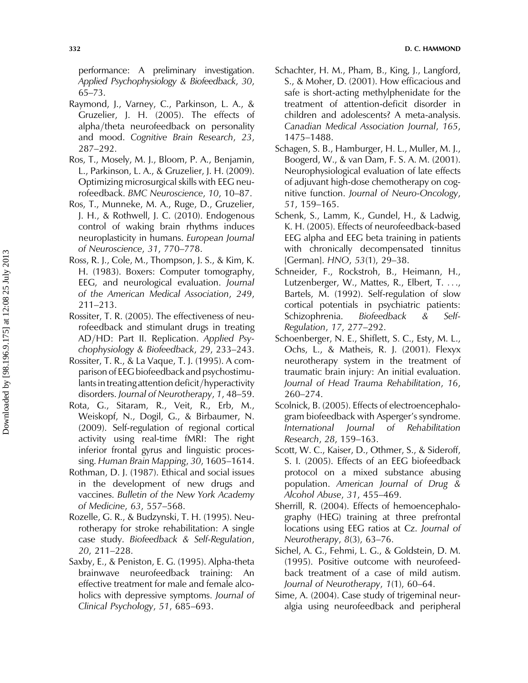performance: A preliminary investigation. Applied Psychophysiology & Biofeedback, 30, 65–73.

- Raymond, J., Varney, C., Parkinson, L. A., & Gruzelier, J. H. (2005). The effects of alpha/theta neurofeedback on personality and mood. Cognitive Brain Research, 23, 287–292.
- Ros, T., Mosely, M. J., Bloom, P. A., Benjamin, L., Parkinson, L. A., & Gruzelier, J. H. (2009). Optimizing microsurgical skills with EEG neurofeedback. BMC Neuroscience, 10, 10–87.
- Ros, T., Munneke, M. A., Ruge, D., Gruzelier, J. H., & Rothwell, J. C. (2010). Endogenous control of waking brain rhythms induces neuroplasticity in humans. European Journal of Neuroscience, 31, 770–778.
- Ross, R. J., Cole, M., Thompson, J. S., & Kim, K. H. (1983). Boxers: Computer tomography, EEG, and neurological evaluation. Journal of the American Medical Association, 249, 211–213.
- Rossiter, T. R. (2005). The effectiveness of neurofeedback and stimulant drugs in treating  $AD/HD$ : Part II. Replication. Applied Psychophysiology & Biofeedback, 29, 233–243.
- Rossiter, T. R., & La Vaque, T. J. (1995). A comparison of EEG biofeedback and psychostimu $l$ ants in treating attention deficit/hyperactivity disorders. Journal of Neurotherapy, 1, 48–59.
- Rota, G., Sitaram, R., Veit, R., Erb, M., Weiskopf, N., Dogil, G., & Birbaumer, N. (2009). Self-regulation of regional cortical activity using real-time fMRI: The right inferior frontal gyrus and linguistic processing. Human Brain Mapping, 30, 1605–1614.
- Rothman, D. J. (1987). Ethical and social issues in the development of new drugs and vaccines. Bulletin of the New York Academy of Medicine, 63, 557–568.
- Rozelle, G. R., & Budzynski, T. H. (1995). Neurotherapy for stroke rehabilitation: A single case study. Biofeedback & Self-Regulation, 20, 211–228.
- Saxby, E., & Peniston, E. G. (1995). Alpha-theta brainwave neurofeedback training: An effective treatment for male and female alcoholics with depressive symptoms. Journal of Clinical Psychology, 51, 685–693.
- Schachter, H. M., Pham, B., King, J., Langford, S., & Moher, D. (2001). How efficacious and safe is short-acting methylphenidate for the treatment of attention-deficit disorder in children and adolescents? A meta-analysis. Canadian Medical Association Journal, 165, 1475–1488.
- Schagen, S. B., Hamburger, H. L., Muller, M. J., Boogerd, W., & van Dam, F. S. A. M. (2001). Neurophysiological evaluation of late effects of adjuvant high-dose chemotherapy on cognitive function. Journal of Neuro-Oncology, 51, 159–165.
- Schenk, S., Lamm, K., Gundel, H., & Ladwig, K. H. (2005). Effects of neurofeedback-based EEG alpha and EEG beta training in patients with chronically decompensated tinnitus [German]. HNO, 53(1), 29–38.
- Schneider, F., Rockstroh, B., Heimann, H., Lutzenberger, W., Mattes, R., Elbert, T. ..., Bartels, M. (1992). Self-regulation of slow cortical potentials in psychiatric patients: Schizophrenia. Biofeedback & Self-Regulation, 17, 277–292.
- Schoenberger, N. E., Shiflett, S. C., Esty, M. L., Ochs, L., & Matheis, R. J. (2001). Flexyx neurotherapy system in the treatment of traumatic brain injury: An initial evaluation. Journal of Head Trauma Rehabilitation, 16, 260–274.
- Scolnick, B. (2005). Effects of electroencephalogram biofeedback with Asperger's syndrome. International Journal of Rehabilitation Research, 28, 159–163.
- Scott, W. C., Kaiser, D., Othmer, S., & Sideroff, S. I. (2005). Effects of an EEG biofeedback protocol on a mixed substance abusing population. American Journal of Drug & Alcohol Abuse, 31, 455–469.
- Sherrill, R. (2004). Effects of hemoencephalography (HEG) training at three prefrontal locations using EEG ratios at Cz. Journal of Neurotherapy, 8(3), 63–76.
- Sichel, A. G., Fehmi, L. G., & Goldstein, D. M. (1995). Positive outcome with neurofeedback treatment of a case of mild autism. Journal of Neurotherapy, 1(1), 60–64.
- Sime, A. (2004). Case study of trigeminal neuralgia using neurofeedback and peripheral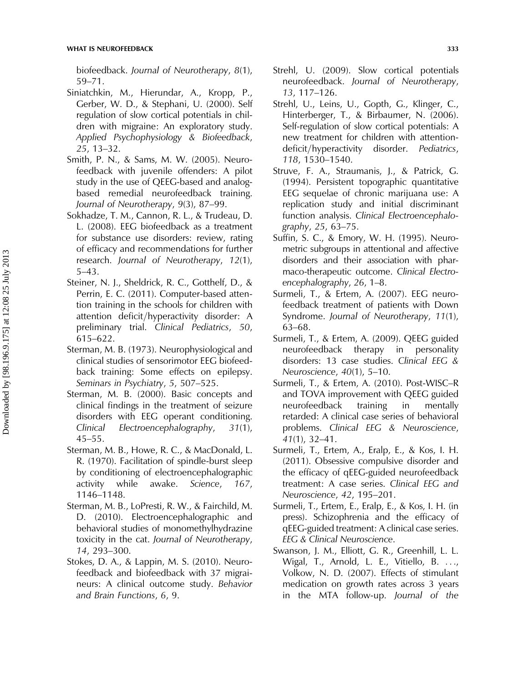biofeedback. Journal of Neurotherapy, 8(1), 59–71.

- Siniatchkin, M., Hierundar, A., Kropp, P., Gerber, W. D., & Stephani, U. (2000). Self regulation of slow cortical potentials in children with migraine: An exploratory study. Applied Psychophysiology & Biofeedback, 25, 13–32.
- Smith, P. N., & Sams, M. W. (2005). Neurofeedback with juvenile offenders: A pilot study in the use of QEEG-based and analogbased remedial neurofeedback training. Journal of Neurotherapy, 9(3), 87–99.
- Sokhadze, T. M., Cannon, R. L., & Trudeau, D. L. (2008). EEG biofeedback as a treatment for substance use disorders: review, rating of efficacy and recommendations for further research. Journal of Neurotherapy, 12(1), 5–43.
- Steiner, N. J., Sheldrick, R. C., Gotthelf, D., & Perrin, E. C. (2011). Computer-based attention training in the schools for children with attention deficit/hyperactivity disorder: A preliminary trial. Clinical Pediatrics, 50, 615–622.
- Sterman, M. B. (1973). Neurophysiological and clinical studies of sensorimotor EEG biofeedback training: Some effects on epilepsy. Seminars in Psychiatry, 5, 507–525.
- Sterman, M. B. (2000). Basic concepts and clinical findings in the treatment of seizure disorders with EEG operant conditioning. Clinical Electroencephalography, 31(1), 45–55.
- Sterman, M. B., Howe, R. C., & MacDonald, L. R. (1970). Facilitation of spindle-burst sleep by conditioning of electroencephalographic activity while awake. Science, 167, 1146–1148.
- Sterman, M. B., LoPresti, R. W., & Fairchild, M. D. (2010). Electroencephalographic and behavioral studies of monomethylhydrazine toxicity in the cat. Journal of Neurotherapy, 14, 293–300.
- Stokes, D. A., & Lappin, M. S. (2010). Neurofeedback and biofeedback with 37 migraineurs: A clinical outcome study. Behavior and Brain Functions, 6, 9.
- Strehl, U. (2009). Slow cortical potentials neurofeedback. Journal of Neurotherapy, 13, 117–126.
- Strehl, U., Leins, U., Gopth, G., Klinger, C., Hinterberger, T., & Birbaumer, N. (2006). Self-regulation of slow cortical potentials: A new treatment for children with attentiondeficit/hyperactivity disorder. Pediatrics, 118, 1530–1540.
- Struve, F. A., Straumanis, J., & Patrick, G. (1994). Persistent topographic quantitative EEG sequelae of chronic marijuana use: A replication study and initial discriminant function analysis. Clinical Electroencephalography, 25, 63–75.
- Suffin, S. C., & Emory, W. H. (1995). Neurometric subgroups in attentional and affective disorders and their association with pharmaco-therapeutic outcome. Clinical Electroencephalography, 26, 1–8.
- Surmeli, T., & Ertem, A. (2007). EEG neurofeedback treatment of patients with Down Syndrome. Journal of Neurotherapy, 11(1), 63–68.
- Surmeli, T., & Ertem, A. (2009). QEEG guided neurofeedback therapy in personality disorders: 13 case studies. Clinical EEG & Neuroscience, 40(1), 5–10.
- Surmeli, T., & Ertem, A. (2010). Post-WISC–R and TOVA improvement with QEEG guided neurofeedback training in mentally retarded: A clinical case series of behavioral problems. Clinical EEG & Neuroscience, 41(1), 32–41.
- Surmeli, T., Ertem, A., Eralp, E., & Kos, I. H. (2011). Obsessive compulsive disorder and the efficacy of qEEG-guided neurofeedback treatment: A case series. Clinical EEG and Neuroscience, 42, 195–201.
- Surmeli, T., Ertem, E., Eralp, E., & Kos, I. H. (in press). Schizophrenia and the efficacy of qEEG-guided treatment: A clinical case series. EEG & Clinical Neuroscience.
- Swanson, J. M., Elliott, G. R., Greenhill, L. L. Wigal, T., Arnold, L. E., Vitiello, B. ..., Volkow, N. D. (2007). Effects of stimulant medication on growth rates across 3 years in the MTA follow-up. Journal of the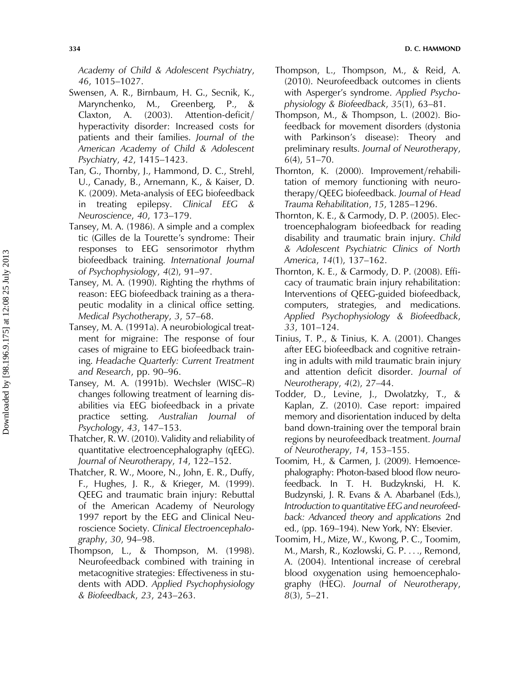Academy of Child & Adolescent Psychiatry, 46, 1015–1027.

- Swensen, A. R., Birnbaum, H. G., Secnik, K., Marynchenko, M., Greenberg, P., & Claxton, A.  $(2003)$ . Attention-deficit/ hyperactivity disorder: Increased costs for patients and their families. Journal of the American Academy of Child & Adolescent Psychiatry, 42, 1415–1423.
- Tan, G., Thornby, J., Hammond, D. C., Strehl, U., Canady, B., Arnemann, K., & Kaiser, D. K. (2009). Meta-analysis of EEG biofeedback in treating epilepsy. Clinical EEG & Neuroscience, 40, 173–179.
- Tansey, M. A. (1986). A simple and a complex tic (Gilles de la Tourette's syndrome: Their responses to EEG sensorimotor rhythm biofeedback training. International Journal of Psychophysiology, 4(2), 91–97.
- Tansey, M. A. (1990). Righting the rhythms of reason: EEG biofeedback training as a therapeutic modality in a clinical office setting. Medical Psychotherapy, 3, 57–68.
- Tansey, M. A. (1991a). A neurobiological treatment for migraine: The response of four cases of migraine to EEG biofeedback training. Headache Quarterly: Current Treatment and Research, pp. 90–96.
- Tansey, M. A. (1991b). Wechsler (WISC–R) changes following treatment of learning disabilities via EEG biofeedback in a private practice setting. Australian Journal of Psychology, 43, 147–153.
- Thatcher, R. W. (2010). Validity and reliability of quantitative electroencephalography (qEEG). Journal of Neurotherapy, 14, 122–152.
- Thatcher, R. W., Moore, N., John, E. R., Duffy, F., Hughes, J. R., & Krieger, M. (1999). QEEG and traumatic brain injury: Rebuttal of the American Academy of Neurology 1997 report by the EEG and Clinical Neuroscience Society. Clinical Electroencephalography, 30, 94–98.
- Thompson, L., & Thompson, M. (1998). Neurofeedback combined with training in metacognitive strategies: Effectiveness in students with ADD. Applied Psychophysiology & Biofeedback, 23, 243–263.
- Thompson, L., Thompson, M., & Reid, A. (2010). Neurofeedback outcomes in clients with Asperger's syndrome. Applied Psychophysiology & Biofeedback, 35(1), 63–81.
- Thompson, M., & Thompson, L. (2002). Biofeedback for movement disorders (dystonia with Parkinson's disease): Theory and preliminary results. Journal of Neurotherapy, 6(4), 51–70.
- Thornton, K. (2000). Improvement/rehabilitation of memory functioning with neurotherapy/QEEG biofeedback. Journal of Head Trauma Rehabilitation, 15, 1285–1296.
- Thornton, K. E., & Carmody, D. P. (2005). Electroencephalogram biofeedback for reading disability and traumatic brain injury. Child & Adolescent Psychiatric Clinics of North America, 14(1), 137–162.
- Thornton, K. E., & Carmody, D. P. (2008). Efficacy of traumatic brain injury rehabilitation: Interventions of QEEG-guided biofeedback, computers, strategies, and medications. Applied Psychophysiology & Biofeedback, 33, 101–124.
- Tinius, T. P., & Tinius, K. A. (2001). Changes after EEG biofeedback and cognitive retraining in adults with mild traumatic brain injury and attention deficit disorder. Journal of Neurotherapy, 4(2), 27–44.
- Todder, D., Levine, J., Dwolatzky, T., & Kaplan, Z. (2010). Case report: impaired memory and disorientation induced by delta band down-training over the temporal brain regions by neurofeedback treatment. Journal of Neurotherapy, 14, 153–155.
- Toomim, H., & Carmen, J. (2009). Hemoencephalography: Photon-based blood flow neurofeedback. In T. H. Budzyknski, H. K. Budzynski, J. R. Evans & A. Abarbanel (Eds.), Introduction to quantitative EEG and neurofeedback: Advanced theory and applications 2nd ed., (pp. 169–194). New York, NY: Elsevier.
- Toomim, H., Mize, W., Kwong, P. C., Toomim, M., Marsh, R., Kozlowski, G. P. ..., Remond, A. (2004). Intentional increase of cerebral blood oxygenation using hemoencephalography (HEG). Journal of Neurotherapy, 8(3), 5–21.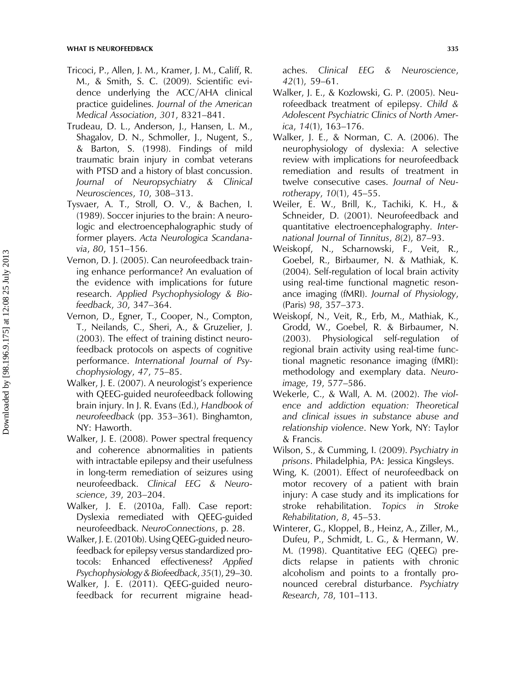- Tricoci, P., Allen, J. M., Kramer, J. M., Califf, R. M., & Smith, S. C. (2009). Scientific evidence underlying the ACC/AHA clinical practice guidelines. Journal of the American Medical Association, 301, 8321–841.
- Trudeau, D. L., Anderson, J., Hansen, L. M., Shagalov, D. N., Schmoller, J., Nugent, S., & Barton, S. (1998). Findings of mild traumatic brain injury in combat veterans with PTSD and a history of blast concussion. Journal of Neuropsychiatry & Clinical Neurosciences, 10, 308–313.
- Tysvaer, A. T., Stroll, O. V., & Bachen, I. (1989). Soccer injuries to the brain: A neurologic and electroencephalographic study of former players. Acta Neurologica Scandanavia, 80, 151–156.
- Vernon, D. J. (2005). Can neurofeedback training enhance performance? An evaluation of the evidence with implications for future research. Applied Psychophysiology & Biofeedback, 30, 347–364.
- Vernon, D., Egner, T., Cooper, N., Compton, T., Neilands, C., Sheri, A., & Gruzelier, J. (2003). The effect of training distinct neurofeedback protocols on aspects of cognitive performance. International Journal of Psychophysiology, 47, 75–85.
- Walker, J. E. (2007). A neurologist's experience with QEEG-guided neurofeedback following brain injury. In J. R. Evans (Ed.), Handbook of neurofeedback (pp. 353–361). Binghamton, NY: Haworth.
- Walker, J. E. (2008). Power spectral frequency and coherence abnormalities in patients with intractable epilepsy and their usefulness in long-term remediation of seizures using neurofeedback. Clinical EEG & Neuroscience, 39, 203–204.
- Walker, J. E. (2010a, Fall). Case report: Dyslexia remediated with QEEG-guided neurofeedback. NeuroConnections, p. 28.
- Walker, J. E. (2010b). Using QEEG-guided neurofeedback for epilepsy versus standardized protocols: Enhanced effectiveness? Applied Psychophysiology & Biofeedback, 35(1), 29–30.
- Walker, J. E. (2011). QEEG-guided neurofeedback for recurrent migraine head-

aches. Clinical EEG & Neuroscience, 42(1), 59–61.

- Walker, J. E., & Kozlowski, G. P. (2005). Neurofeedback treatment of epilepsy. Child & Adolescent Psychiatric Clinics of North America, 14(1), 163–176.
- Walker, J. E., & Norman, C. A. (2006). The neurophysiology of dyslexia: A selective review with implications for neurofeedback remediation and results of treatment in twelve consecutive cases. Journal of Neurotherapy, 10(1), 45–55.
- Weiler, E. W., Brill, K., Tachiki, K. H., & Schneider, D. (2001). Neurofeedback and quantitative electroencephalography. International Journal of Tinnitus, 8(2), 87–93.
- Weiskopf, N., Scharnowski, F., Veit, R., Goebel, R., Birbaumer, N. & Mathiak, K. (2004). Self-regulation of local brain activity using real-time functional magnetic resonance imaging (fMRI). Journal of Physiology, (Paris) 98, 357–373.
- Weiskopf, N., Veit, R., Erb, M., Mathiak, K., Grodd, W., Goebel, R. & Birbaumer, N. (2003). Physiological self-regulation of regional brain activity using real-time functional magnetic resonance imaging (fMRI): methodology and exemplary data. Neuroimage, 19, 577–586.
- Wekerle, C., & Wall, A. M. (2002). The violence and addiction equation: Theoretical and clinical issues in substance abuse and relationship violence. New York, NY: Taylor & Francis.
- Wilson, S., & Cumming, I. (2009). Psychiatry in prisons. Philadelphia, PA: Jessica Kingsleys.
- Wing, K. (2001). Effect of neurofeedback on motor recovery of a patient with brain injury: A case study and its implications for stroke rehabilitation. Topics in Stroke Rehabilitation, 8, 45–53.
- Winterer, G., Kloppel, B., Heinz, A., Ziller, M., Dufeu, P., Schmidt, L. G., & Hermann, W. M. (1998). Quantitative EEG (QEEG) predicts relapse in patients with chronic alcoholism and points to a frontally pronounced cerebral disturbance. Psychiatry Research, 78, 101–113.